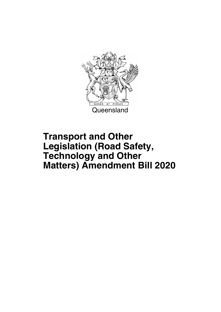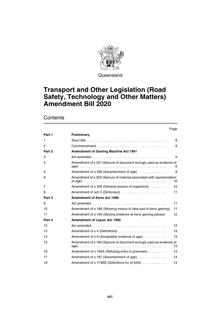

Queensland

## **Transport and Other Legislation (Road Safety, Technology and Other Matters) Amendment Bill 2020**

### **Contents**

|        | Page                                                                                       |    |
|--------|--------------------------------------------------------------------------------------------|----|
| Part 1 | Preliminary                                                                                |    |
| 1      | Short title $\ldots \ldots \ldots \ldots \ldots \ldots \ldots \ldots \ldots \ldots \ldots$ | 8  |
| 2      |                                                                                            | 8  |
| Part 2 | <b>Amendment of Gaming Machine Act 1991</b>                                                |    |
| 3      |                                                                                            | 9  |
| 4      | Amendment of s 257 (Seizure of document wrongly used as evidence of                        | 9  |
| 5      | Amendment of s 258 (Ascertainment of age)                                                  | 9  |
| 6      | Amendment of s 259 (Seizure of material associated with representation                     | 10 |
| 7      | Amendment of s 329 (General powers of inspectors)                                          | 10 |
| 8      | Amendment of sch 2 (Dictionary)                                                            | 11 |
| Part 3 | <b>Amendment of Keno Act 1996</b>                                                          |    |
| 9      |                                                                                            | 11 |
| 10     | Amendment of s 166 (Allowing minors to take part in keno gaming)                           | 11 |
| 11     | Amendment of s 184 (Seizing evidence at keno gaming places)                                | 12 |
| Part 4 | <b>Amendment of Liquor Act 1992</b>                                                        |    |
| 12     |                                                                                            | 12 |
| 13     | Amendment of s 4 (Definitions)                                                             | 13 |
| 14     | Amendment of s 6 (Acceptable evidence of age)                                              | 13 |
| 15     | Amendment of s 160 (Seizure of document wrongly used as evidence of                        | 13 |
| 16     | Amendment of s 165A (Refusing entry to premises)                                           | 14 |
| 17     | Amendment of s 167 (Ascertainment of age)                                                  | 14 |
| 18     | Amendment of s 173EE (Definitions for pt 6AA)                                              | 14 |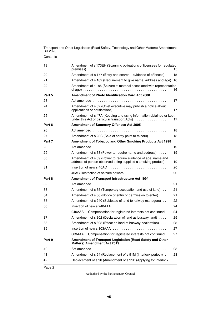**Contents** 

| 19     | Amendment of s 173EH (Scanning obligations of licensees for regulated                                                         | 15 |
|--------|-------------------------------------------------------------------------------------------------------------------------------|----|
| 20     | Amendment of s 177 (Entry and search-evidence of offences)                                                                    | 15 |
| 21     | Amendment of s 182 (Requirement to give name, address and age)                                                                | 16 |
| 22     | Amendment of s 186 (Seizure of material associated with representation                                                        | 16 |
| Part 5 | <b>Amendment of Photo Identification Card Act 2008</b>                                                                        |    |
| 23     |                                                                                                                               | 17 |
| 24     | Amendment of s 32 (Chief executive may publish a notice about                                                                 | 17 |
| 25     | Amendment of s 47A (Keeping and using information obtained or kept<br>under this Act or particular transport Acts)            | 17 |
| Part 6 | <b>Amendment of Summary Offences Act 2005</b>                                                                                 |    |
| 26     |                                                                                                                               | 18 |
| 27     | Amendment of s 23B (Sale of spray paint to minors)                                                                            | 18 |
| Part 7 | Amendment of Tobacco and Other Smoking Products Act 1998                                                                      |    |
| 28     |                                                                                                                               | 19 |
| 29     | Amendment of s 38 (Power to require name and address)                                                                         | 19 |
| 30     | Amendment of s 39 (Power to require evidence of age, name and<br>address of person observed being supplied a smoking product) | 19 |
| 31     | Insertion of new s 40AC                                                                                                       | 20 |
|        | 40AC Restriction of seizure powers                                                                                            | 20 |
| Part 8 | Amendment of Transport Infrastructure Act 1994                                                                                |    |
| 32     |                                                                                                                               | 21 |
| 33     | Amendment of s 35 (Temporary occupation and use of land).                                                                     | 21 |
| 34     | Amendment of s 36 (Notice of entry or permission to enter)                                                                    | 21 |
| 35     | Amendment of s 240 (Sublease of land to railway managers)                                                                     | 22 |
| 36     | Insertion of new s 240AAA                                                                                                     | 24 |
|        | Compensation for registered interests not continued<br>240AAA                                                                 | 24 |
| 37     | Amendment of s 302 (Declaration of land as busway land)                                                                       | 25 |
| 38     | Amendment of s 303 (Effect on land of busway declaration)                                                                     | 25 |
| 39     |                                                                                                                               | 27 |
|        | 303AAA<br>Compensation for registered interests not continued                                                                 | 27 |
| Part 9 | Amendment of Transport Legislation (Road Safety and Other<br><b>Matters) Amendment Act 2019</b>                               |    |
| 40     |                                                                                                                               | 28 |
| 41     | Amendment of s 94 (Replacement of s 91M (Interlock period)).                                                                  | 28 |
| 42     | Replacement of s 96 (Amendment of s 91P (Applying for interlock                                                               |    |
|        |                                                                                                                               |    |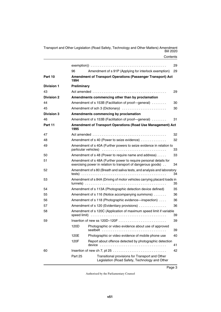|                   |                    |                                                                                                                                           | 29 |
|-------------------|--------------------|-------------------------------------------------------------------------------------------------------------------------------------------|----|
|                   | 96                 | Amendment of s 91P (Applying for interlock exemption)                                                                                     | 29 |
| Part 10           | 1994               | <b>Amendment of Transport Operations (Passenger Transport) Act</b>                                                                        |    |
| <b>Division 1</b> | <b>Preliminary</b> |                                                                                                                                           |    |
| 43                |                    |                                                                                                                                           | 29 |
| <b>Division 2</b> |                    | Amendments commencing other than by proclamation                                                                                          |    |
| 44                |                    | Amendment of s 153B (Facilitation of proof-general)                                                                                       | 30 |
| 45                |                    | Amendment of sch 3 (Dictionary)                                                                                                           | 30 |
| <b>Division 3</b> |                    | Amendments commencing by proclamation                                                                                                     |    |
| 46                |                    | Amendment of s 153B (Facilitation of proof-general)                                                                                       | 31 |
| Part 11           | 1995               | Amendment of Transport Operations (Road Use Management) Act                                                                               |    |
| 47                |                    | Act amended $\ldots \ldots \ldots \ldots \ldots \ldots \ldots \ldots \ldots \ldots \ldots \ldots$                                         | 32 |
| 48                |                    | Amendment of s 40 (Power to seize evidence)                                                                                               | 32 |
| 49                |                    | Amendment of s 40A (Further powers to seize evidence in relation to                                                                       | 33 |
| 50                |                    | Amendment of s 48 (Power to require name and address)                                                                                     | 33 |
| 51                |                    | Amendment of s 48A (Further power to require personal details for<br>exercising power in relation to transport of dangerous goods).       | 34 |
| 52                |                    | Amendment of s 80 (Breath and saliva tests, and analysis and laboratory                                                                   | 34 |
| 53                |                    | Amendment of s 84A (Driving of motor vehicles carrying placard loads in                                                                   | 35 |
| 54                |                    | Amendment of s 113A (Photographic detection device defined)                                                                               | 35 |
| 55                |                    | Amendment of s 116 (Notice accompanying summons)                                                                                          | 36 |
| 56                |                    | Amendment of s 118 (Photographic evidence—inspection)                                                                                     | 36 |
| 57                |                    | Amendment of s 120 (Evidentiary provisions)                                                                                               | 36 |
| 58                | speed limit)       | Amendment of s 120C (Application of maximum speed limit if variable                                                                       | 39 |
| 59                |                    |                                                                                                                                           | 39 |
|                   | 120D               | Photographic or video evidence about use of approved                                                                                      | 39 |
|                   | 120E               | Photographic or video evidence of mobile phone use                                                                                        | 40 |
|                   | 120F               | Report about offence detected by photographic detection<br>device $\ldots \ldots \ldots \ldots \ldots \ldots \ldots \ldots \ldots \ldots$ | 41 |
| 60                |                    |                                                                                                                                           | 42 |
|                   | Part 25            | Transitional provisions for Transport and Other<br>Legislation (Road Safety, Technology and Other                                         |    |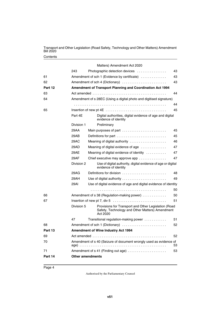#### **Contents**

|         |                         | Matters) Amendment Act 2020                                                                                         |    |
|---------|-------------------------|---------------------------------------------------------------------------------------------------------------------|----|
|         | 243                     | Photographic detection devices                                                                                      | 43 |
| 61      |                         | Amendment of sch 1 (Evidence by certificate)                                                                        | 43 |
| 62      |                         | Amendment of sch 4 (Dictionary)                                                                                     | 43 |
| Part 12 |                         | Amendment of Transport Planning and Coordination Act 1994                                                           |    |
| 63      |                         |                                                                                                                     | 44 |
| 64      |                         | Amendment of s 28EC (Using a digital photo and digitised signature)                                                 |    |
|         |                         |                                                                                                                     | 44 |
| 65      |                         | Insertion of new pt 4E $\dots\dots\dots\dots\dots\dots\dots\dots\dots\dots\dots\dots\dots$                          | 45 |
|         | Part 4E                 | Digital authorities, digital evidence of age and digital<br>evidence of identity                                    |    |
|         | Division 1              | Preliminary                                                                                                         |    |
|         | 29AA                    | Main purposes of part $\ldots \ldots \ldots \ldots \ldots \ldots \ldots$                                            | 45 |
|         | 29AB                    |                                                                                                                     | 45 |
|         | 29AC                    | Meaning of digital authority                                                                                        | 46 |
|         | 29AD                    | Meaning of digital evidence of age                                                                                  | 47 |
|         | 29AE                    | Meaning of digital evidence of identity                                                                             | 47 |
|         | 29AF                    | Chief executive may approve app                                                                                     | 47 |
|         | Division 2              | Use of digital authority, digital evidence of age or digital<br>evidence of identity                                |    |
|         | 29AG                    | Definitions for division                                                                                            | 48 |
|         | 29AH                    | Use of digital authority                                                                                            | 49 |
|         | 29AI                    | Use of digital evidence of age and digital evidence of identity                                                     |    |
|         |                         |                                                                                                                     | 50 |
| 66      |                         | Amendment of s 38 (Regulation-making power)                                                                         | 50 |
| 67      |                         |                                                                                                                     | 51 |
|         | Division 5              | Provisions for Transport and Other Legislation (Road<br>Safety, Technology and Other Matters) Amendment<br>Act 2020 |    |
|         | 47                      | Transitional regulation-making power                                                                                | 51 |
| 68      |                         | Amendment of sch 1 (Dictionary)                                                                                     | 52 |
| Part 13 |                         | Amendment of Wine Industry Act 1994                                                                                 |    |
| 69      |                         | Actamended $\ldots \ldots \ldots \ldots \ldots \ldots \ldots \ldots \ldots \ldots$                                  | 52 |
| 70      |                         | Amendment of s 40 (Seizure of document wrongly used as evidence of                                                  | 53 |
| 71      |                         | Amendment of s 41 (Finding out age)                                                                                 | 53 |
| Part 14 | <b>Other amendments</b> |                                                                                                                     |    |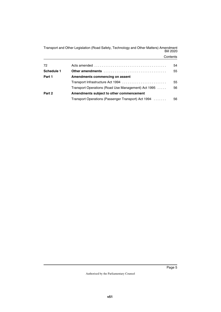#### **Contents**

| 72         |                                                     | 54 |
|------------|-----------------------------------------------------|----|
| Schedule 1 | Other amendments                                    | 55 |
| Part 1     | Amendments commencing on assent                     |    |
|            | Transport Infrastructure Act 1994                   | 55 |
|            | Transport Operations (Road Use Management) Act 1995 | 56 |
| Part 2     | Amendments subject to other commencement            |    |
|            | Transport Operations (Passenger Transport) Act 1994 | 56 |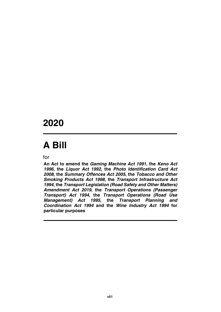# **2020**

# **A Bill**

for

**An Act to amend the** *Gaming Machine Act 1991***, the** *Keno Act 1996***, the** *Liquor Act 1992***, the** *Photo Identification Card Act 2008***, the** *Summary Offences Act 2005***, the** *Tobacco and Other Smoking Products Act 1998***, the** *Transport Infrastructure Act 1994***, the** *Transport Legislation (Road Safety and Other Matters) Amendment Act 2019***, the** *Transport Operations (Passenger Transport) Act 1994***, the** *Transport Operations (Road Use Management) Act 1995***, the** *Transport Planning and Coordination Act 1994* **and the** *Wine Industry Act 1994* **for particular purposes**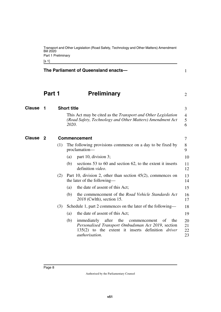<span id="page-9-3"></span><span id="page-9-1"></span>[s 1]

<span id="page-9-5"></span><span id="page-9-4"></span><span id="page-9-2"></span><span id="page-9-0"></span>

|               |        |     | The Parliament of Queensland enacts-                                                                                                                                                                       | 1                    |
|---------------|--------|-----|------------------------------------------------------------------------------------------------------------------------------------------------------------------------------------------------------------|----------------------|
|               | Part 1 |     | <b>Preliminary</b>                                                                                                                                                                                         | $\overline{2}$       |
| <b>Clause</b> | 1      |     | <b>Short title</b>                                                                                                                                                                                         | 3                    |
|               |        |     | This Act may be cited as the Transport and Other Legislation<br>(Road Safety, Technology and Other Matters) Amendment Act<br>2020.                                                                         | 4<br>5<br>6          |
| Clause        | - 2    |     | <b>Commencement</b>                                                                                                                                                                                        | 7                    |
|               |        | (1) | The following provisions commence on a day to be fixed by<br>proclamation-                                                                                                                                 | 8<br>9               |
|               |        |     | part 10, division 3;<br>(a)                                                                                                                                                                                | 10                   |
|               |        |     | (b)<br>sections 53 to 60 and section 62, to the extent it inserts<br>definition video.                                                                                                                     | 11<br>12             |
|               |        | (2) | Part 10, division 2, other than section $45(2)$ , commences on<br>the later of the following—                                                                                                              | 13<br>14             |
|               |        |     | the date of assent of this Act;<br>(a)                                                                                                                                                                     | 15                   |
|               |        |     | the commencement of the Road Vehicle Standards Act<br>(b)<br>2018 (Cwlth), section 15.                                                                                                                     | 16<br>17             |
|               |        | (3) | Schedule 1, part 2 commences on the later of the following—                                                                                                                                                | 18                   |
|               |        |     | the date of assent of this Act;<br>(a)                                                                                                                                                                     | 19                   |
|               |        |     | after<br>the<br>(b)<br>immediately<br>the<br>commencement<br>of<br>Personalised Transport Ombudsman Act 2019, section<br>135(2) to the extent it inserts definition <i>driver</i><br><i>authorisation.</i> | 20<br>21<br>22<br>23 |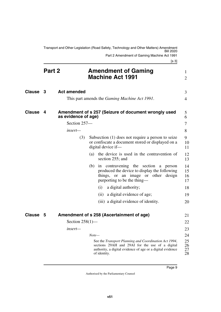<span id="page-10-7"></span><span id="page-10-6"></span><span id="page-10-5"></span><span id="page-10-4"></span><span id="page-10-3"></span><span id="page-10-2"></span><span id="page-10-1"></span><span id="page-10-0"></span>

|                     |        |                     |         | Transport and Other Legislation (Road Safety, Technology and Other Matters) Amendment                                                                                                  |                      |
|---------------------|--------|---------------------|---------|----------------------------------------------------------------------------------------------------------------------------------------------------------------------------------------|----------------------|
|                     |        |                     |         | Part 2 Amendment of Gaming Machine Act 1991<br>[s 3]                                                                                                                                   |                      |
|                     | Part 2 |                     |         | <b>Amendment of Gaming</b><br><b>Machine Act 1991</b>                                                                                                                                  | 1<br>$\overline{2}$  |
| Clause <sub>3</sub> |        | <b>Act amended</b>  |         |                                                                                                                                                                                        | 3                    |
|                     |        |                     |         | This part amends the <i>Gaming Machine Act 1991</i> .                                                                                                                                  | 4                    |
| <b>Clause</b>       | 4      | as evidence of age) |         | Amendment of s 257 (Seizure of document wrongly used                                                                                                                                   | 5<br>6               |
|                     |        | Section 257-        |         |                                                                                                                                                                                        | 7                    |
|                     |        | insert—             |         |                                                                                                                                                                                        | 8                    |
|                     |        | (3)                 |         | Subsection (1) does not require a person to seize<br>or confiscate a document stored or displayed on a<br>digital device if-                                                           | 9<br>10<br>11        |
|                     |        |                     | (a)     | the device is used in the contravention of<br>section 255; and                                                                                                                         | 12<br>13             |
|                     |        |                     | (b)     | in contravening the section a<br>person<br>produced the device to display the following<br>things, or an image or other design<br>purporting to be the thing—                          | 14<br>15<br>16<br>17 |
|                     |        |                     |         | a digital authority;<br>(i)                                                                                                                                                            | 18                   |
|                     |        |                     |         | a digital evidence of age;<br>(ii)                                                                                                                                                     | 19                   |
|                     |        |                     |         | (iii) a digital evidence of identity.                                                                                                                                                  | 20                   |
| <b>Clause</b>       | 5      |                     |         | Amendment of s 258 (Ascertainment of age)                                                                                                                                              | 21                   |
|                     |        | Section $258(1)$ —  |         |                                                                                                                                                                                        | 22                   |
|                     |        | insert-             |         |                                                                                                                                                                                        | 23                   |
|                     |        |                     | $Note-$ |                                                                                                                                                                                        | 24                   |
|                     |        |                     |         | See the Transport Planning and Coordination Act 1994,<br>sections 29AH and 29AI for the use of a digital<br>authority, a digital evidence of age or a digital evidence<br>of identity. | 25<br>26<br>27<br>28 |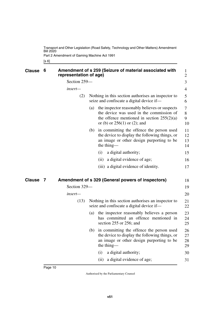Part 2 Amendment of Gaming Machine Act 1991

<span id="page-11-1"></span><span id="page-11-0"></span>[s 6]

<span id="page-11-3"></span><span id="page-11-2"></span>

|               | 6 | representation of age) |     | Amendment of s 259 (Seizure of material associated with                                                                                                                     | $\mathbf{1}$<br>$\overline{2}$ |
|---------------|---|------------------------|-----|-----------------------------------------------------------------------------------------------------------------------------------------------------------------------------|--------------------------------|
|               |   | Section 259-           |     |                                                                                                                                                                             | 3                              |
|               |   | insert—                |     |                                                                                                                                                                             | $\overline{4}$                 |
|               |   | (2)                    |     | Nothing in this section authorises an inspector to<br>seize and confiscate a digital device if—                                                                             | 5<br>6                         |
|               |   |                        | (a) | the inspector reasonably believes or suspects<br>the device was used in the commission of<br>the offence mentioned in section $255(2)(a)$<br>or (b) or $256(1)$ or (2); and | 7<br>8<br>9<br>10              |
|               |   |                        | (b) | in committing the offence the person used<br>the device to display the following things, or<br>an image or other design purporting to be<br>the thing—                      | 11<br>12<br>13<br>14           |
|               |   |                        |     | a digital authority;<br>(i)                                                                                                                                                 | 15                             |
|               |   |                        |     | a digital evidence of age;<br>(ii)                                                                                                                                          | 16                             |
|               |   |                        |     | (iii) a digital evidence of identity.                                                                                                                                       | 17                             |
|               |   |                        |     |                                                                                                                                                                             |                                |
| <b>Clause</b> | 7 |                        |     | Amendment of s 329 (General powers of inspectors)                                                                                                                           | 18                             |
|               |   | Section 329-           |     |                                                                                                                                                                             | 19                             |
|               |   | insert—                |     |                                                                                                                                                                             | 20                             |
|               |   | (13)                   |     | Nothing in this section authorises an inspector to<br>seize and confiscate a digital device if—                                                                             | 21<br>22                       |
|               |   |                        |     | (a) the inspector reasonably believes a person<br>has committed an offence mentioned in<br>section 255 or 256; and                                                          | 23<br>24<br>25                 |
|               |   |                        | (b) | in committing the offence the person used<br>the device to display the following things, or<br>an image or other design purporting to be<br>the thing—                      | 26<br>27<br>28<br>29           |
|               |   |                        |     | a digital authority;<br>(i)                                                                                                                                                 | 30                             |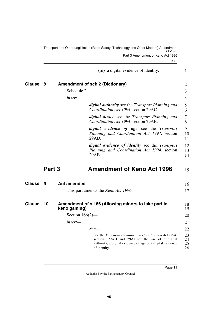<span id="page-12-7"></span><span id="page-12-6"></span><span id="page-12-5"></span><span id="page-12-4"></span><span id="page-12-3"></span><span id="page-12-2"></span><span id="page-12-1"></span><span id="page-12-0"></span>

|               |        |                    | Transport and Other Legislation (Road Safety, Technology and Other Matters) Amendment<br><b>Bill 2020</b>                                                                              |                      |
|---------------|--------|--------------------|----------------------------------------------------------------------------------------------------------------------------------------------------------------------------------------|----------------------|
|               |        |                    | Part 3 Amendment of Keno Act 1996                                                                                                                                                      |                      |
|               |        |                    | [s 8]                                                                                                                                                                                  |                      |
|               |        |                    | (iii) a digital evidence of identity.                                                                                                                                                  | $\mathbf{1}$         |
| <b>Clause</b> | 8      |                    | <b>Amendment of sch 2 (Dictionary)</b>                                                                                                                                                 | 2                    |
|               |        | Schedule 2-        |                                                                                                                                                                                        | 3                    |
|               |        | insert—            |                                                                                                                                                                                        | 4                    |
|               |        |                    | digital authority see the Transport Planning and<br>Coordination Act 1994, section 29AC.                                                                                               | 5<br>6               |
|               |        |                    | digital device see the Transport Planning and<br>Coordination Act 1994, section 29AB.                                                                                                  | 7<br>8               |
|               |        |                    | digital evidence of age see the Transport<br>Planning and Coordination Act 1994, section<br>29AD.                                                                                      | 9<br>10<br>11        |
|               |        |                    | <i>digital evidence of identity</i> see the <i>Transport</i><br>Planning and Coordination Act 1994, section<br>29AE.                                                                   | 12<br>13<br>14       |
|               | Part 3 |                    | <b>Amendment of Keno Act 1996</b>                                                                                                                                                      | 15                   |
| <b>Clause</b> | 9      | <b>Act amended</b> |                                                                                                                                                                                        | 16                   |
|               |        |                    | This part amends the <i>Keno Act 1996</i> .                                                                                                                                            | 17                   |
| <b>Clause</b> | 10     | keno gaming)       | Amendment of s 166 (Allowing minors to take part in                                                                                                                                    | 18<br>19             |
|               |        | Section $166(2)$ — |                                                                                                                                                                                        | 20                   |
|               |        | insert-            |                                                                                                                                                                                        | 21                   |
|               |        |                    | $Note-$                                                                                                                                                                                | 22                   |
|               |        |                    | See the Transport Planning and Coordination Act 1994,<br>sections 29AH and 29AI for the use of a digital<br>authority, a digital evidence of age or a digital evidence<br>of identity. | 23<br>24<br>25<br>26 |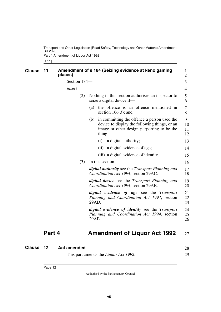Part 4 Amendment of Liquor Act 1992

<span id="page-13-1"></span><span id="page-13-0"></span>[s 11]

| <b>Clause</b> | 11     | places)      |     | Amendment of s 184 (Seizing evidence at keno gaming                                                                                                             | $\mathbf{1}$<br>$\overline{2}$ |
|---------------|--------|--------------|-----|-----------------------------------------------------------------------------------------------------------------------------------------------------------------|--------------------------------|
|               |        | Section 184- |     |                                                                                                                                                                 | 3                              |
|               |        | insert-      |     |                                                                                                                                                                 | $\overline{4}$                 |
|               |        |              | (2) | Nothing in this section authorises an inspector to<br>seize a digital device if-                                                                                | 5<br>6                         |
|               |        |              |     | the offence is an offence mentioned in<br>(a)<br>section $166(3)$ ; and                                                                                         | 7<br>8                         |
|               |        |              |     | in committing the offence a person used the<br>(b)<br>device to display the following things, or an<br>image or other design purporting to be the<br>$\lim_{g}$ | 9<br>10<br>11<br>12            |
|               |        |              |     | a digital authority;<br>(i)                                                                                                                                     | 13                             |
|               |        |              |     | a digital evidence of age;<br>(ii)                                                                                                                              | 14                             |
|               |        |              |     | (iii) a digital evidence of identity.                                                                                                                           | 15                             |
|               |        |              | (3) | In this section—                                                                                                                                                | 16                             |
|               |        |              |     | <b>digital authority</b> see the Transport Planning and<br>Coordination Act 1994, section 29AC.                                                                 | 17<br>18                       |
|               |        |              |     | <b>digital device</b> see the Transport Planning and<br>Coordination Act 1994, section 29AB.                                                                    | 19<br>20                       |
|               |        |              |     | digital evidence of age see the Transport<br>Planning and Coordination Act 1994, section<br>29AD.                                                               | 21<br>22<br>23                 |
|               |        |              |     | <i>digital evidence of identity</i> see the <i>Transport</i><br>Planning and Coordination Act 1994, section<br>29AE.                                            | 24<br>25<br>26                 |
|               | Part 4 |              |     | <b>Amendment of Liquor Act 1992</b>                                                                                                                             | 27                             |

<span id="page-13-5"></span><span id="page-13-4"></span><span id="page-13-3"></span><span id="page-13-2"></span>

| <b>Clause 12</b> | <b>Act amended</b>                            | 28 |
|------------------|-----------------------------------------------|----|
|                  | This part amends the <i>Liquor Act 1992</i> . |    |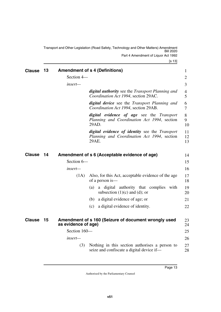<span id="page-14-1"></span><span id="page-14-0"></span>Transport and Other Legislation (Road Safety, Technology and Other Matters) Amendment Bill 2020 Part 4 Amendment of Liquor Act 1992

<span id="page-14-5"></span><span id="page-14-4"></span><span id="page-14-3"></span><span id="page-14-2"></span>

| <b>Clause</b> | 13 |                     | <b>Amendment of s 4 (Definitions)</b>                                                                  | $\mathbf{1}$        |
|---------------|----|---------------------|--------------------------------------------------------------------------------------------------------|---------------------|
|               |    | Section 4-          |                                                                                                        | $\overline{2}$      |
|               |    | insert—             |                                                                                                        | 3                   |
|               |    |                     | <b>digital authority</b> see the Transport Planning and<br>Coordination Act 1994, section 29AC.        | $\overline{4}$<br>5 |
|               |    |                     | digital device see the Transport Planning and<br>Coordination Act 1994, section 29AB.                  | 6<br>7              |
|               |    |                     | digital evidence of age see the Transport<br>Planning and Coordination Act 1994, section<br>29AD.      | 8<br>9<br>10        |
|               |    |                     | digital evidence of identity see the Transport<br>Planning and Coordination Act 1994, section<br>29AE. | 11<br>12<br>13      |
| <b>Clause</b> | 14 |                     | Amendment of s 6 (Acceptable evidence of age)                                                          | 14                  |
|               |    | Section 6-          |                                                                                                        | 15                  |
|               |    | insert—             |                                                                                                        | 16                  |
|               |    | (1A)                | Also, for this Act, acceptable evidence of the age<br>of a person is—                                  | 17<br>18            |
|               |    |                     | a digital authority that complies<br>(a)<br>with<br>subsection $(1)(c)$ and $(d)$ ; or                 | 19<br>20            |
|               |    |                     | a digital evidence of age; or<br>(b)                                                                   | 21                  |
|               |    |                     | a digital evidence of identity.<br>(c)                                                                 | 22                  |
| <b>Clause</b> | 15 | as evidence of age) | Amendment of s 160 (Seizure of document wrongly used                                                   | 23<br>24            |
|               |    | Section 160-        |                                                                                                        | 25                  |
|               |    | insert—             |                                                                                                        | 26                  |
|               |    | (3)                 | Nothing in this section authorises a person to<br>seize and confiscate a digital device if—            | 27<br>28            |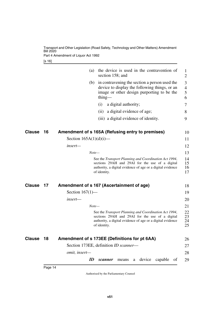Part 4 Amendment of Liquor Act 1992

[s 16]

<span id="page-15-5"></span><span id="page-15-4"></span><span id="page-15-3"></span><span id="page-15-2"></span><span id="page-15-1"></span><span id="page-15-0"></span>

|        |    | the device is used in the contravention of<br>(a)<br>section 158; and                                                                                                                  | 1<br>$\overline{2}$                   |
|--------|----|----------------------------------------------------------------------------------------------------------------------------------------------------------------------------------------|---------------------------------------|
|        |    | (b)<br>in contravening the section a person used the<br>device to display the following things, or an<br>image or other design purporting to be the<br>thing—                          | 3<br>$\overline{4}$<br>5<br>6         |
|        |    | a digital authority;<br>(i)                                                                                                                                                            | 7                                     |
|        |    | a digital evidence of age;<br>(ii)                                                                                                                                                     | 8                                     |
|        |    | (iii) a digital evidence of identity.                                                                                                                                                  | 9                                     |
| Clause | 16 | Amendment of s 165A (Refusing entry to premises)                                                                                                                                       | 10                                    |
|        |    | Section $165A(1)(d)(i)$ —                                                                                                                                                              | 11                                    |
|        |    | insert—                                                                                                                                                                                | 12                                    |
|        |    | $Note-$                                                                                                                                                                                | 13                                    |
|        |    | See the Transport Planning and Coordination Act 1994,<br>sections 29AH and 29AI for the use of a digital<br>authority, a digital evidence of age or a digital evidence<br>of identity. | 14<br>15<br>16<br>17                  |
| Clause | 17 | Amendment of s 167 (Ascertainment of age)                                                                                                                                              | 18                                    |
|        |    | Section $167(1)$ —                                                                                                                                                                     | 19                                    |
|        |    | insert-                                                                                                                                                                                | 20                                    |
|        |    | $Note-$                                                                                                                                                                                | 21                                    |
|        |    | See the Transport Planning and Coordination Act 1994,<br>sections 29AH and 29AI for the use of a digital<br>authority, a digital evidence of age or a digital evidence<br>of identity. | 22<br>23<br>24<br>25                  |
| Clause | 18 | Amendment of s 173EE (Definitions for pt 6AA)                                                                                                                                          | 26                                    |
|        |    | Section 173EE, definition ID scanner-                                                                                                                                                  | 27                                    |
|        |    | omit, insert-                                                                                                                                                                          | 28                                    |
|        |    | ID<br>scanner<br>means<br>a                                                                                                                                                            | device capable<br><sub>of</sub><br>29 |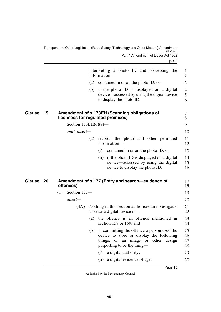<span id="page-16-3"></span><span id="page-16-2"></span><span id="page-16-1"></span><span id="page-16-0"></span>

|        |    |                         |     | interpreting a photo ID and processing the<br>information-                                                                                                        | $\mathbf{1}$<br>2        |
|--------|----|-------------------------|-----|-------------------------------------------------------------------------------------------------------------------------------------------------------------------|--------------------------|
|        |    |                         |     | (a) contained in or on the photo ID; or                                                                                                                           | 3                        |
|        |    |                         |     | (b) if the photo ID is displayed on a digital<br>device—accessed by using the digital device<br>to display the photo ID.                                          | $\overline{4}$<br>5<br>6 |
| Clause | 19 |                         |     | Amendment of s 173EH (Scanning obligations of<br>licensees for regulated premises)                                                                                | 7<br>8                   |
|        |    | Section $173EH(6)(a)$ — |     |                                                                                                                                                                   | 9                        |
|        |    | omit, insert-           |     |                                                                                                                                                                   | 10                       |
|        |    |                         | (a) | records the photo and other permitted<br>information-                                                                                                             | 11<br>12                 |
|        |    |                         |     | (i)<br>contained in or on the photo ID; or                                                                                                                        | 13                       |
|        |    |                         |     | (ii) if the photo ID is displayed on a digital<br>device—accessed by using the digital<br>device to display the photo ID.                                         | 14<br>15<br>16           |
| Clause | 20 | offences)               |     | Amendment of s 177 (Entry and search—evidence of                                                                                                                  | 17<br>18                 |
|        |    | Section 177-<br>(1)     |     |                                                                                                                                                                   | 19                       |
|        |    | insert—                 |     |                                                                                                                                                                   | 20                       |
|        |    | (4A)                    |     | Nothing in this section authorises an investigator<br>to seize a digital device if—                                                                               | 21<br>22                 |
|        |    |                         | (a) | the offence is an offence mentioned in<br>section 158 or 159; and                                                                                                 | 23<br>24                 |
|        |    |                         |     | (b) in committing the offence a person used the<br>device to store or display the following<br>things, or an image or other design<br>purporting to be the thing- | 25<br>26<br>27<br>28     |
|        |    |                         |     | a digital authority;<br>(i)                                                                                                                                       | 29                       |
|        |    |                         |     | a digital evidence of age;<br>(ii)                                                                                                                                | 30                       |
|        |    |                         |     |                                                                                                                                                                   |                          |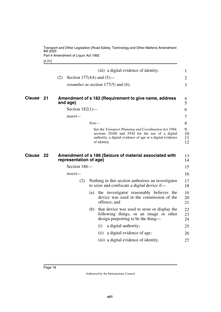Part 4 Amendment of Liquor Act 1992

<span id="page-17-1"></span>[s 21]

<span id="page-17-3"></span><span id="page-17-2"></span><span id="page-17-0"></span>

|               |    |                        |         | (iii) a digital evidence of identity.                                                                                                                                                  | $\mathbf{1}$        |
|---------------|----|------------------------|---------|----------------------------------------------------------------------------------------------------------------------------------------------------------------------------------------|---------------------|
|               |    | (2)                    |         | Section 177(4A) and $(5)$ —                                                                                                                                                            | 2                   |
|               |    |                        |         | <i>renumber</i> as section $177(5)$ and (6).                                                                                                                                           | 3                   |
| <b>Clause</b> | 21 | and age)               |         | Amendment of s 182 (Requirement to give name, address                                                                                                                                  | 4<br>5              |
|               |    | Section $182(1)$ —     |         |                                                                                                                                                                                        | 6                   |
|               |    | insert-                |         |                                                                                                                                                                                        | 7                   |
|               |    |                        | $Note-$ |                                                                                                                                                                                        | 8                   |
|               |    |                        |         | See the Transport Planning and Coordination Act 1994,<br>sections 29AH and 29AI for the use of a digital<br>authority, a digital evidence of age or a digital evidence<br>of identity. | 9<br>10<br>11<br>12 |
| <b>Clause</b> | 22 | representation of age) |         | Amendment of s 186 (Seizure of material associated with                                                                                                                                | 13<br>14            |
|               |    | Section 186-           |         |                                                                                                                                                                                        | 15                  |
|               |    | insert—                |         |                                                                                                                                                                                        | 16                  |
|               |    | (2)                    |         | Nothing in this section authorises an investigator<br>to seize and confiscate a digital device if-                                                                                     | 17<br>18            |
|               |    |                        | (a)     | the investigator reasonably believes the<br>device was used in the commission of the<br>offence; and                                                                                   | 19<br>20<br>21      |
|               |    |                        |         | (b) that device was used to store or display the<br>following things, or an image or other<br>design purporting to be the thing—                                                       | 22<br>23<br>24      |
|               |    |                        |         | a digital authority;<br>(i)                                                                                                                                                            | 25                  |
|               |    |                        |         | a digital evidence of age;<br>(ii)                                                                                                                                                     | 26                  |
|               |    |                        |         | (iii) a digital evidence of identity.                                                                                                                                                  | 27                  |
|               |    |                        |         |                                                                                                                                                                                        |                     |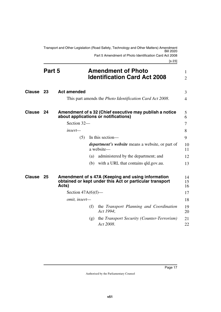<span id="page-18-1"></span><span id="page-18-0"></span>Transport and Other Legislation (Road Safety, Technology and Other Matters) Amendment Bill 2020 Part 5 Amendment of Photo Identification Card Act 2008

[s 23]

<span id="page-18-7"></span><span id="page-18-6"></span><span id="page-18-5"></span><span id="page-18-4"></span><span id="page-18-3"></span><span id="page-18-2"></span>

|               | Part 5 |                       |     | <b>Amendment of Photo</b><br><b>Identification Card Act 2008</b>                                             | 1<br>$\overline{2}$ |
|---------------|--------|-----------------------|-----|--------------------------------------------------------------------------------------------------------------|---------------------|
| <b>Clause</b> | -23    | <b>Act amended</b>    |     |                                                                                                              | 3                   |
|               |        |                       |     | This part amends the <i>Photo Identification Card Act 2008</i> .                                             | $\overline{4}$      |
| <b>Clause</b> | 24     |                       |     | Amendment of s 32 (Chief executive may publish a notice<br>about applications or notifications)              | 5<br>6              |
|               |        | Section 32-           |     |                                                                                                              | 7                   |
|               |        | insert-               |     |                                                                                                              | 8                   |
|               |        | (5)                   |     | In this section—                                                                                             | 9                   |
|               |        |                       |     | <i>department's website</i> means a website, or part of<br>a website-                                        | 10<br>11            |
|               |        |                       | (a) | administered by the department; and                                                                          | 12                  |
|               |        |                       |     | (b) with a URL that contains qld.gov.au.                                                                     | 13                  |
| <b>Clause</b> | 25     | Acts)                 |     | Amendment of s 47A (Keeping and using information<br>obtained or kept under this Act or particular transport | 14<br>15<br>16      |
|               |        | Section $47A(6)(f)$ — |     |                                                                                                              | 17                  |
|               |        | omit, insert-         |     |                                                                                                              | 18                  |
|               |        |                       | (f) | the Transport Planning and Coordination<br>Act 1994;                                                         | 19<br>20            |
|               |        |                       | (g) | the <i>Transport Security (Counter-Terrorism)</i><br>Act 2008.                                               | 21<br>22            |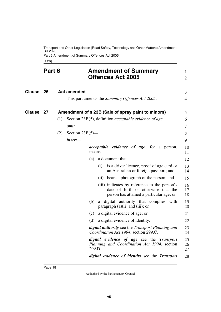Part 6 Amendment of Summary Offences Act 2005

<span id="page-19-5"></span><span id="page-19-3"></span><span id="page-19-2"></span><span id="page-19-1"></span><span id="page-19-0"></span>[s 26]

<span id="page-19-4"></span>

|               | Part 6 |     |                    | <b>Amendment of Summary</b><br><b>Offences Act 2005</b>                                                                         | 1<br>$\overline{2}$ |
|---------------|--------|-----|--------------------|---------------------------------------------------------------------------------------------------------------------------------|---------------------|
| <b>Clause</b> | 26     |     | <b>Act amended</b> | This part amends the Summary Offences Act 2005.                                                                                 | 3<br>4              |
|               |        |     |                    |                                                                                                                                 |                     |
| Clause        | 27     |     |                    | Amendment of s 23B (Sale of spray paint to minors)                                                                              | 5                   |
|               |        | (1) |                    | Section 23B(5), definition <i>acceptable evidence of age</i> —                                                                  | 6                   |
|               |        |     | omit.              |                                                                                                                                 | 7                   |
|               |        | (2) | Section $23B(5)$ — |                                                                                                                                 | 8                   |
|               |        |     | insert-            |                                                                                                                                 | 9                   |
|               |        |     |                    | <i>acceptable evidence of age</i> , for a person,<br>$means$ —                                                                  | 10<br>11            |
|               |        |     |                    | a document that—<br>(a)                                                                                                         | 12                  |
|               |        |     |                    | (i)<br>is a driver licence, proof of age card or<br>an Australian or foreign passport; and                                      | 13<br>14            |
|               |        |     |                    | (ii) bears a photograph of the person; and                                                                                      | 15                  |
|               |        |     |                    | (iii) indicates by reference to the person's<br>date of birth or otherwise that the<br>person has attained a particular age; or | 16<br>17<br>18      |
|               |        |     |                    | a digital authority that complies with<br>(b)<br>paragraph $(a)(ii)$ and $(iii)$ ; or                                           | 19<br>20            |
|               |        |     |                    | a digital evidence of age; or<br>(c)                                                                                            | 21                  |
|               |        |     |                    | a digital evidence of identity.<br>(d)                                                                                          | 22                  |
|               |        |     |                    | <b>digital authority</b> see the Transport Planning and<br>Coordination Act 1994, section 29AC.                                 | 23<br>24            |
|               |        |     |                    | digital evidence of age see the Transport<br>Planning and Coordination Act 1994, section<br>29AD.                               | 25<br>26<br>27      |
|               |        |     |                    | digital evidence of identity see the Transport                                                                                  | 28                  |

Page 18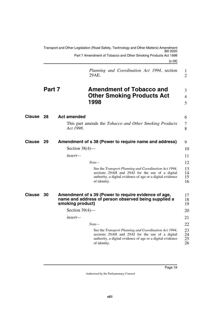<span id="page-20-7"></span><span id="page-20-6"></span><span id="page-20-5"></span><span id="page-20-4"></span><span id="page-20-3"></span><span id="page-20-2"></span><span id="page-20-1"></span><span id="page-20-0"></span>

|               |        | Transport and Other Legislation (Road Safety, Technology and Other Matters) Amendment<br>Bill 2020<br>Part 7 Amendment of Tobacco and Other Smoking Products Act 1998<br>[s 28]                   |                            |
|---------------|--------|---------------------------------------------------------------------------------------------------------------------------------------------------------------------------------------------------|----------------------------|
|               |        | Planning and Coordination Act 1994, section<br>29AE.                                                                                                                                              | 1<br>$\overline{2}$        |
|               | Part 7 | <b>Amendment of Tobacco and</b><br><b>Other Smoking Products Act</b><br>1998                                                                                                                      | 3<br>$\overline{4}$<br>5   |
| Clause        | 28     | <b>Act amended</b>                                                                                                                                                                                | 6                          |
|               |        | This part amends the <i>Tobacco and Other Smoking Products</i><br>Act 1998.                                                                                                                       | 7<br>8                     |
| Clause        | 29     | Amendment of s 38 (Power to require name and address)                                                                                                                                             | 9                          |
|               |        | Section $38(4)$ —                                                                                                                                                                                 | 10                         |
|               |        | insert—                                                                                                                                                                                           | 11                         |
|               |        | $Note-$<br>See the Transport Planning and Coordination Act 1994,<br>sections 29AH and 29AI for the use of a digital<br>authority, a digital evidence of age or a digital evidence<br>of identity. | 12<br>13<br>14<br>15<br>16 |
| <b>Clause</b> | 30     | Amendment of s 39 (Power to require evidence of age,<br>name and address of person observed being supplied a<br>smoking product)                                                                  | 17<br>18<br>19             |
|               |        | Section $39(4)$ —                                                                                                                                                                                 | 20                         |
|               |        | insert—                                                                                                                                                                                           | 21                         |
|               |        | $Note-$                                                                                                                                                                                           | 22                         |
|               |        | See the Transport Planning and Coordination Act 1994,<br>sections 29AH and 29AI for the use of a digital<br>authority, a digital evidence of age or a digital evidence<br>of identity.            | 23<br>24<br>25<br>26       |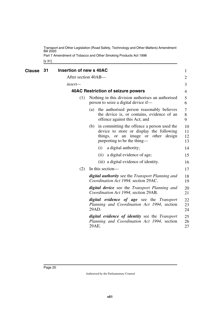Part 7 Amendment of Tobacco and Other Smoking Products Act 1998

<span id="page-21-3"></span><span id="page-21-2"></span><span id="page-21-1"></span><span id="page-21-0"></span>[s 31]

| Clause | 31 | Insertion of new s 40AC |                                                                                                                                                                      | 1                    |
|--------|----|-------------------------|----------------------------------------------------------------------------------------------------------------------------------------------------------------------|----------------------|
|        |    | After section 40AB-     |                                                                                                                                                                      | 2                    |
|        |    | insert—                 |                                                                                                                                                                      | 3                    |
|        |    |                         | <b>40AC Restriction of seizure powers</b>                                                                                                                            | 4                    |
|        |    | (1)                     | Nothing in this division authorises an authorised<br>person to seize a digital device if—                                                                            | 5<br>6               |
|        |    |                         | the authorised person reasonably believes<br>(a)<br>the device is, or contains, evidence of an<br>offence against this Act; and                                      | 7<br>$8\,$<br>9      |
|        |    |                         | in committing the offence a person used the<br>(b)<br>device to store or display the following<br>things, or an image or other design<br>purporting to be the thing— | 10<br>11<br>12<br>13 |
|        |    |                         | a digital authority;<br>(i)                                                                                                                                          | 14                   |
|        |    |                         | a digital evidence of age;<br>(ii)                                                                                                                                   | 15                   |
|        |    |                         | (iii) a digital evidence of identity.                                                                                                                                | 16                   |
|        |    | (2)                     | In this section—                                                                                                                                                     | 17                   |
|        |    |                         | <b>digital authority</b> see the Transport Planning and<br>Coordination Act 1994, section 29AC.                                                                      | 18<br>19             |
|        |    |                         | <b>digital device</b> see the Transport Planning and<br>Coordination Act 1994, section 29AB.                                                                         | 20<br>21             |
|        |    |                         | <i>digital evidence of age</i> see the <i>Transport</i><br>Planning and Coordination Act 1994, section<br>29AD.                                                      | 22<br>23<br>24       |
|        |    |                         | <i>digital evidence of identity</i> see the <i>Transport</i><br>Planning and Coordination Act 1994, section<br>29AE.                                                 | 25<br>26<br>27       |
|        |    |                         |                                                                                                                                                                      |                      |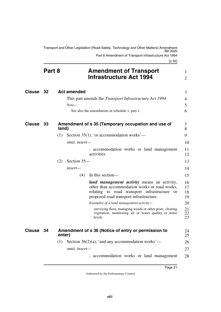<span id="page-22-1"></span><span id="page-22-0"></span>Transport and Other Legislation (Road Safety, Technology and Other Matters) Amendment Bill 2020 Part 8 Amendment of Transport Infrastructure Act 1994

[s 32]

<span id="page-22-7"></span><span id="page-22-6"></span><span id="page-22-5"></span><span id="page-22-4"></span><span id="page-22-3"></span><span id="page-22-2"></span>

|           | Part 8 |        |                      | <b>Amendment of Transport</b><br><b>Infrastructure Act 1994</b>                                                                                                                                   | 1<br>$\overline{2}$  |
|-----------|--------|--------|----------------------|---------------------------------------------------------------------------------------------------------------------------------------------------------------------------------------------------|----------------------|
| Clause 32 |        |        | <b>Act amended</b>   |                                                                                                                                                                                                   | 3                    |
|           |        |        | $Note-$              | This part amends the <i>Transport Infrastructure Act 1994</i> .                                                                                                                                   | 4<br>5               |
|           |        |        |                      | See also the amendments in schedule 1, part 1.                                                                                                                                                    | 6                    |
| Clause 33 |        | land)  |                      | Amendment of s 35 (Temporary occupation and use of                                                                                                                                                | 7<br>8               |
|           |        | (1)    |                      | Section 35(1), 'or accommodation works'—                                                                                                                                                          | 9                    |
|           |        |        | <i>omit, insert—</i> |                                                                                                                                                                                                   | 10                   |
|           |        |        |                      | , accommodation works or land management<br>activities                                                                                                                                            | 11<br>12             |
|           |        | (2)    | Section 35-          |                                                                                                                                                                                                   | 13                   |
|           |        |        | $insert-$            |                                                                                                                                                                                                   | 14                   |
|           |        |        | (4)                  | In this section—                                                                                                                                                                                  | 15                   |
|           |        |        |                      | land management activity means an activity,<br>other than accommodation works or road works,<br>relating to road transport infrastructure<br><b>or</b><br>proposed road transport infrastructure. | 16<br>17<br>18<br>19 |
|           |        |        |                      | Examples of a land management activity-                                                                                                                                                           | 20                   |
|           |        |        |                      | surveying flora, managing weeds or other pests, clearing<br>vegetation, monitoring air or water quality or noise<br>levels                                                                        | 21<br>22<br>23       |
| Clause 34 |        | enter) |                      | Amendment of s 36 (Notice of entry or permission to                                                                                                                                               | 24<br>25             |
|           |        |        |                      | (1) Section $36(2)(a)$ , 'and any accommodation works'—                                                                                                                                           | 26                   |
|           |        |        | omit, insert-        |                                                                                                                                                                                                   | 27                   |
|           |        |        |                      | , accommodation works or land management                                                                                                                                                          | 28                   |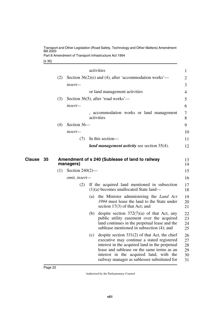Part 8 Amendment of Transport Infrastructure Act 1994

[s 35]

<span id="page-23-1"></span><span id="page-23-0"></span>

|              |     |                    |     | activities                                                                                                                                 | $\mathbf{1}$   |
|--------------|-----|--------------------|-----|--------------------------------------------------------------------------------------------------------------------------------------------|----------------|
|              | (2) |                    |     | Section $36(2)(e)$ and (4), after 'accommodation works'—                                                                                   | $\overline{2}$ |
|              |     | insert-            |     |                                                                                                                                            | 3              |
|              |     |                    |     | or land management activities                                                                                                              | 4              |
|              | (3) |                    |     | Section 36(5), after 'road works'—                                                                                                         | 5              |
|              |     | insert-            |     |                                                                                                                                            | 6              |
|              |     |                    |     | accommodation works or land management<br>activities                                                                                       | 7<br>8         |
|              | (4) | Section 36-        |     |                                                                                                                                            | 9              |
|              |     | insert-            |     |                                                                                                                                            | 10             |
|              |     | (7)                |     | In this section—                                                                                                                           | 11             |
|              |     |                    |     | <i>land management activity</i> see section 35(4).                                                                                         | 12             |
| Clause<br>35 |     | managers)          |     | Amendment of s 240 (Sublease of land to railway                                                                                            | 13<br>14       |
|              | (1) | Section $240(2)$ — |     |                                                                                                                                            | 15             |
|              |     | omit, insert-      |     |                                                                                                                                            | 16             |
|              |     | (2)                |     | If the acquired land mentioned in subsection<br>$(1)(a)$ becomes unallocated State land—                                                   | 17<br>18       |
|              |     |                    | (a) | the Minister administering the Land Act<br>1994 must lease the land to the State under<br>section $17(3)$ of that Act; and                 | 19<br>20<br>21 |
|              |     |                    | (b) | despite section $372(7)(a)$ of that Act, any<br>public utility easement over the acquired<br>land continues in the perpetual lease and the | 22<br>23<br>24 |
|              |     |                    |     | sublease mentioned in subsection (4); and                                                                                                  | 25             |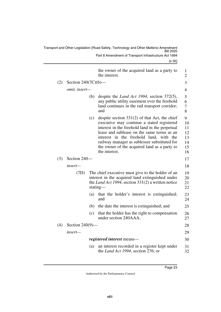|     |                        |     | Transport and Other Legislation (Road Safety, Technology and Other Matters) Amendment<br><b>Bill 2020</b>                                                                                                                                                                                                                                                 |                                             |
|-----|------------------------|-----|-----------------------------------------------------------------------------------------------------------------------------------------------------------------------------------------------------------------------------------------------------------------------------------------------------------------------------------------------------------|---------------------------------------------|
|     |                        |     | Part 8 Amendment of Transport Infrastructure Act 1994                                                                                                                                                                                                                                                                                                     |                                             |
|     |                        |     | $\left[ \text{s } 35 \right]$                                                                                                                                                                                                                                                                                                                             |                                             |
|     |                        |     | the owner of the acquired land as a party to<br>the interest.                                                                                                                                                                                                                                                                                             | 1<br>$\overline{2}$                         |
| (2) | Section $240(7C)(b)$ — |     |                                                                                                                                                                                                                                                                                                                                                           | 3                                           |
|     | omit, insert-          |     |                                                                                                                                                                                                                                                                                                                                                           | 4                                           |
|     |                        | (b) | despite the <i>Land Act 1994</i> , section $372(5)$ ,<br>any public utility easement over the freehold<br>land continues in the rail transport corridor;<br>and                                                                                                                                                                                           | 5<br>6<br>7<br>8                            |
|     |                        | (c) | despite section $331(2)$ of that Act, the chief<br>executive may continue a stated registered<br>interest in the freehold land in the perpetual<br>lease and sublease on the same terms as an<br>interest in the freehold land, with the<br>railway manager as sublessee substituted for<br>the owner of the acquired land as a party to<br>the interest. | 9<br>10<br>11<br>12<br>13<br>14<br>15<br>16 |
| (3) | Section 240-           |     |                                                                                                                                                                                                                                                                                                                                                           | 17                                          |
|     | insert-                |     |                                                                                                                                                                                                                                                                                                                                                           | 18                                          |
|     | (7D)                   |     | The chief executive must give to the holder of an<br>interest in the acquired land extinguished under<br>the Land Act 1994, section 331(2) a written notice<br>stating—                                                                                                                                                                                   | 19<br>20<br>21<br>22                        |
|     |                        | (a) | that the holder's interest is extinguished;<br>and                                                                                                                                                                                                                                                                                                        | 23<br>24                                    |
|     |                        | (b) | the date the interest is extinguished; and                                                                                                                                                                                                                                                                                                                | 25                                          |
|     |                        | (c) | that the holder has the right to compensation<br>under section 240AAA.                                                                                                                                                                                                                                                                                    | 26<br>27                                    |
| (4) | Section $240(9)$ —     |     |                                                                                                                                                                                                                                                                                                                                                           | 28                                          |
|     | $insert-$              |     |                                                                                                                                                                                                                                                                                                                                                           | 29                                          |
|     |                        |     | <i>registered interest</i> means—                                                                                                                                                                                                                                                                                                                         | 30                                          |
|     |                        | (a) | an interest recorded in a register kept under<br>the Land Act 1994, section 276; or                                                                                                                                                                                                                                                                       | 31<br>32                                    |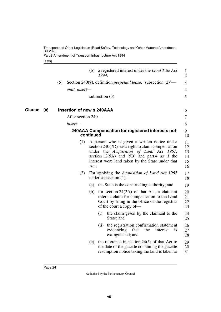Part 8 Amendment of Transport Infrastructure Act 1994

<span id="page-25-3"></span><span id="page-25-2"></span><span id="page-25-1"></span>[s 36]

<span id="page-25-0"></span>

|              |                    | a registered interest under the <i>Land Title Act</i><br>(b)<br>1994.                                                                                                                                                                                        | 1<br>$\overline{2}$              |
|--------------|--------------------|--------------------------------------------------------------------------------------------------------------------------------------------------------------------------------------------------------------------------------------------------------------|----------------------------------|
|              | (5)                | Section 240(9), definition <i>perpetual lease</i> , 'subsection $(2)$ '—                                                                                                                                                                                     | 3                                |
|              | omit, insert-      |                                                                                                                                                                                                                                                              | $\overline{4}$                   |
|              |                    | subsection $(3)$                                                                                                                                                                                                                                             | 5                                |
| Clause<br>36 |                    | <b>Insertion of new s 240AAA</b>                                                                                                                                                                                                                             | 6                                |
|              | After section 240- |                                                                                                                                                                                                                                                              | 7                                |
|              | insert—            |                                                                                                                                                                                                                                                              | 8                                |
|              |                    | 240AAA Compensation for registered interests not<br>continued                                                                                                                                                                                                | 9<br>10                          |
|              | (1)                | A person who is given a written notice under<br>section 240(7D) has a right to claim compensation<br>under the Acquisition of Land Act 1967,<br>section $12(5A)$ and $(5B)$ and part 4 as if the<br>interest were land taken by the State under that<br>Act. | 11<br>12<br>13<br>14<br>15<br>16 |
|              | (2)                | For applying the Acquisition of Land Act 1967<br>under subsection $(1)$ —                                                                                                                                                                                    | 17<br>18                         |
|              |                    | the State is the constructing authority; and<br>(a)                                                                                                                                                                                                          | 19                               |
|              |                    | for section $24(2A)$ of that Act, a claimant<br>(b)<br>refers a claim for compensation to the Land<br>Court by filing in the office of the registrar<br>of the court a copy of-                                                                              | 20<br>21<br>22<br>23             |
|              |                    | the claim given by the claimant to the<br>(i)<br>State; and                                                                                                                                                                                                  | 24<br>25                         |
|              |                    | the registration confirmation statement<br>(i)<br>evidencing<br>that<br>the<br>interest<br>1S<br>extinguished; and                                                                                                                                           | 26<br>27<br>28                   |
|              |                    | the reference in section $24(5)$ of that Act to<br>(c)<br>the date of the gazette containing the gazette<br>resumption notice taking the land is taken to                                                                                                    | 29<br>30<br>31                   |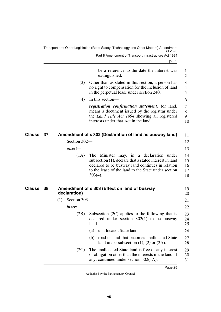[s 37]

<span id="page-26-3"></span><span id="page-26-2"></span><span id="page-26-1"></span><span id="page-26-0"></span>

|              |                     | be a reference to the date the interest was<br>extinguished.                                                                                                                                                                |
|--------------|---------------------|-----------------------------------------------------------------------------------------------------------------------------------------------------------------------------------------------------------------------------|
|              | (3)                 | Other than as stated in this section, a person has<br>no right to compensation for the inclusion of land<br>in the perpetual lease under section 240.                                                                       |
|              | (4)                 | In this section-                                                                                                                                                                                                            |
|              |                     | registration confirmation statement, for land,<br>means a document issued by the registrar under<br>the Land Title Act 1994 showing all registered<br>interests under that Act in the land.                                 |
| Clause 37    |                     | Amendment of s 302 (Declaration of land as busway land)                                                                                                                                                                     |
|              | Section 302-        |                                                                                                                                                                                                                             |
|              | insert—             |                                                                                                                                                                                                                             |
|              | (1A)                | The Minister may, in a declaration under<br>subsection (1), declare that a stated interest in land<br>declared to be busway land continues in relation<br>to the lease of the land to the State under section<br>$303(4)$ . |
| Clause<br>38 | declaration)        | Amendment of s 303 (Effect on land of busway                                                                                                                                                                                |
|              | Section 303-<br>(1) |                                                                                                                                                                                                                             |
|              | $insert-$           |                                                                                                                                                                                                                             |
|              | (2B)                | Subsection $(2C)$ applies to the following that is<br>declared under section $302(1)$ to be busway<br>$land-$                                                                                                               |
|              |                     | unallocated State land;<br>(a)                                                                                                                                                                                              |
|              |                     | road or land that becomes unallocated State<br>(b)<br>land under subsection $(1)$ , $(2)$ or $(2A)$ .                                                                                                                       |
|              | (2C)                | The unallocated State land is free of any interest<br>or obligation other than the interests in the land, if<br>any, continued under section 302(1A).                                                                       |
|              |                     |                                                                                                                                                                                                                             |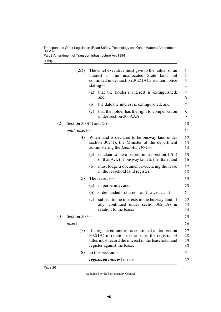Part 8 Amendment of Transport Infrastructure Act 1994

[s 38]

|     | (2D)                       |     | The chief executive must give to the holder of an<br>unallocated State<br>the<br>interest in<br>land<br>not<br>continued under section $302(1A)$ a written notice<br>stating—                       | 1<br>$\overline{c}$<br>3<br>$\overline{4}$ |
|-----|----------------------------|-----|-----------------------------------------------------------------------------------------------------------------------------------------------------------------------------------------------------|--------------------------------------------|
|     |                            | (a) | that the holder's interest is extinguished;<br>and                                                                                                                                                  | 5<br>6                                     |
|     |                            | (b) | the date the interest is extinguished; and                                                                                                                                                          | 7                                          |
|     |                            | (c) | that the holder has the right to compensation<br>under section 303AAA.                                                                                                                              | 8<br>9                                     |
| (2) | Section 303(4) and $(5)$ — |     |                                                                                                                                                                                                     | 10                                         |
|     | omit, insert-              |     |                                                                                                                                                                                                     | 11                                         |
|     | (4)                        |     | When land is declared to be busway land under<br>section $302(1)$ , the Minister of the department<br>administering the Land Act 1994—                                                              | 12<br>13<br>14                             |
|     |                            | (a) | is taken to have leased, under section $17(3)$<br>of that Act, the busway land to the State; and                                                                                                    | 15<br>16                                   |
|     |                            | (b) | must lodge a document evidencing the lease<br>in the leasehold land register.                                                                                                                       | 17<br>18                                   |
|     | (5)                        |     | The lease is-                                                                                                                                                                                       | 19                                         |
|     |                            | (a) | in perpetuity; and                                                                                                                                                                                  | 20                                         |
|     |                            | (b) | if demanded, for a rent of \$1 a year; and                                                                                                                                                          | 21                                         |
|     |                            | (c) | subject to the interests in the busway land, if<br>any, continued under section $302(1A)$ in<br>relation to the lease.                                                                              | 22<br>23<br>24                             |
| (3) | Section 303-               |     |                                                                                                                                                                                                     | 25                                         |
|     | insert—                    |     |                                                                                                                                                                                                     | 26                                         |
|     | (7)                        |     | If a registered interest is continued under section<br>$302(1A)$ in relation to the lease, the registrar of<br>titles must record the interest in the leasehold land<br>register against the lease. | 27<br>28<br>29<br>30                       |
|     | (8)                        |     | In this section-                                                                                                                                                                                    | 31                                         |
|     |                            |     | registered interest means-                                                                                                                                                                          | 32                                         |
|     |                            |     |                                                                                                                                                                                                     |                                            |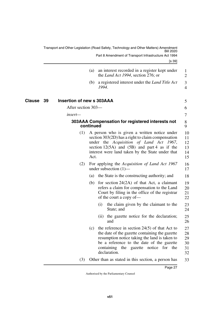[s 39]

|               |     |                                  |           | the <i>Land Act 1994</i> , section 276; or                                                                                                                                                                                                               | $\overline{2}$                                                                               |
|---------------|-----|----------------------------------|-----------|----------------------------------------------------------------------------------------------------------------------------------------------------------------------------------------------------------------------------------------------------------|----------------------------------------------------------------------------------------------|
|               |     |                                  | (b)       | a registered interest under the <i>Land Title Act</i><br>1994.                                                                                                                                                                                           | 3<br>$\overline{4}$                                                                          |
| <b>Clause</b> | -39 | <b>Insertion of new s 303AAA</b> |           |                                                                                                                                                                                                                                                          | 5                                                                                            |
|               |     | After section 303—               |           |                                                                                                                                                                                                                                                          | 6                                                                                            |
|               |     | insert—                          |           |                                                                                                                                                                                                                                                          | 7                                                                                            |
|               |     |                                  | continued | 303AAA Compensation for registered interests not                                                                                                                                                                                                         | 8<br>9                                                                                       |
|               |     | (1)                              | Act.      | A person who is given a written notice under<br>section 303(2D) has a right to claim compensation<br>under the Acquisition of Land Act 1967,<br>section $12(5A)$ and $(5B)$ and part 4 as if the<br>interest were land taken by the State under that     | $\mathbf{1}$<br>$\mathbf{1}$<br>$\mathbf{1}$<br>$\mathbf{1}$<br>$\mathbf{1}$<br>$\mathbf{1}$ |
|               |     | (2)                              |           | For applying the Acquisition of Land Act 1967<br>under subsection $(1)$ —                                                                                                                                                                                | $\mathbf{1}$<br>$\mathbf{1}$                                                                 |
|               |     |                                  | (a)       | the State is the constructing authority; and                                                                                                                                                                                                             | $\mathbf{1}$                                                                                 |
|               |     |                                  | (b)       | for section $24(2A)$ of that Act, a claimant<br>refers a claim for compensation to the Land<br>Court by filing in the office of the registrar<br>of the court a copy of-                                                                                 | $\mathbf{1}$<br>$\overline{c}$<br>$\overline{c}$<br>$\overline{c}$                           |
|               |     |                                  |           | the claim given by the claimant to the<br>(i)<br>State; and                                                                                                                                                                                              | $\overline{c}$<br>$\overline{2}$                                                             |
|               |     |                                  |           | the gazette notice for the declaration;<br>(11)<br>and                                                                                                                                                                                                   | $\overline{c}$<br>$\overline{c}$                                                             |
|               |     |                                  | (c)       | the reference in section $24(5)$ of that Act to<br>the date of the gazette containing the gazette<br>resumption notice taking the land is taken to<br>be a reference to the date of the gazette<br>containing the gazette notice for the<br>declaration. | $\overline{c}$<br>$\overline{2}$<br>$\overline{c}$<br>3<br>3<br>3                            |
|               |     | (3)                              |           | Other than as stated in this section, a person has                                                                                                                                                                                                       | 3                                                                                            |
|               |     |                                  |           | <b>Pane 27</b>                                                                                                                                                                                                                                           |                                                                                              |

### <span id="page-28-3"></span><span id="page-28-2"></span><span id="page-28-1"></span><span id="page-28-0"></span>**Inserti**

(a) an interest recorded in a register kept under

- 18
- 19 20 21 22
	- 23 24
	- 25 26
- 27 28 29 30 31 32
- 33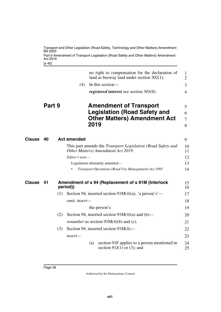<span id="page-29-5"></span><span id="page-29-4"></span><span id="page-29-3"></span><span id="page-29-2"></span><span id="page-29-1"></span><span id="page-29-0"></span>

|               |                    | Transport and Other Legislation (Road Safety, Technology and Other Matters) Amendment<br><b>Bill 2020</b><br>Part 9 Amendment of Transport Legislation (Road Safety and Other Matters) Amendment |                    |      |                                                                                                                  |                     |  |  |  |  |  |
|---------------|--------------------|--------------------------------------------------------------------------------------------------------------------------------------------------------------------------------------------------|--------------------|------|------------------------------------------------------------------------------------------------------------------|---------------------|--|--|--|--|--|
|               | Act 2019<br>[s 40] |                                                                                                                                                                                                  |                    |      |                                                                                                                  |                     |  |  |  |  |  |
|               |                    |                                                                                                                                                                                                  |                    |      | no right to compensation for the declaration of<br>land as busway land under section $302(1)$ .                  | 1<br>$\overline{2}$ |  |  |  |  |  |
|               |                    |                                                                                                                                                                                                  | (4)                |      | In this section—                                                                                                 | 3                   |  |  |  |  |  |
|               |                    |                                                                                                                                                                                                  |                    |      | <i>registered interest</i> see section 303(8).                                                                   | 4                   |  |  |  |  |  |
|               | Part 9             |                                                                                                                                                                                                  |                    | 2019 | <b>Amendment of Transport</b><br><b>Legislation (Road Safety and</b><br><b>Other Matters) Amendment Act</b>      | 5<br>6<br>7<br>8    |  |  |  |  |  |
| <b>Clause</b> | 40                 |                                                                                                                                                                                                  | <b>Act amended</b> |      |                                                                                                                  | 9                   |  |  |  |  |  |
|               |                    |                                                                                                                                                                                                  |                    |      | This part amends the <i>Transport Legislation</i> ( <i>Road Safety and</i><br>Other Matters) Amendment Act 2019. | 10<br>11            |  |  |  |  |  |
|               |                    |                                                                                                                                                                                                  | Editor's note-     |      |                                                                                                                  | 12                  |  |  |  |  |  |
|               |                    |                                                                                                                                                                                                  |                    |      | Legislation ultimately amended-                                                                                  | 13                  |  |  |  |  |  |
|               |                    |                                                                                                                                                                                                  |                    |      | Transport Operations (Road Use Management) Act 1995                                                              | 14                  |  |  |  |  |  |
| <b>Clause</b> | 41                 |                                                                                                                                                                                                  | period))           |      | Amendment of s 94 (Replacement of s 91M (Interlock                                                               | 15<br>16            |  |  |  |  |  |
|               |                    | (1)                                                                                                                                                                                              |                    |      | Section 94, inserted section $91M(4)(a)$ , 'a person's'—                                                         | 17                  |  |  |  |  |  |
|               |                    |                                                                                                                                                                                                  | omit, insert-      |      |                                                                                                                  | 18                  |  |  |  |  |  |
|               |                    |                                                                                                                                                                                                  |                    |      | the person's                                                                                                     | 19                  |  |  |  |  |  |
|               |                    | (2)                                                                                                                                                                                              |                    |      | Section 94, inserted section $91M(4)(a)$ and (b)—                                                                | 20                  |  |  |  |  |  |
|               |                    |                                                                                                                                                                                                  |                    |      | <i>renumber</i> as section $91M(4)(b)$ and (c).                                                                  | 21                  |  |  |  |  |  |
|               |                    | (3)                                                                                                                                                                                              |                    |      | Section 94, inserted section $91M(4)$ —                                                                          | 22                  |  |  |  |  |  |
|               |                    |                                                                                                                                                                                                  | insert-            |      |                                                                                                                  | 23                  |  |  |  |  |  |
|               |                    |                                                                                                                                                                                                  |                    | (a)  | section 91F applies to a person mentioned in<br>section 91J(1) or (3); and                                       | 24<br>25            |  |  |  |  |  |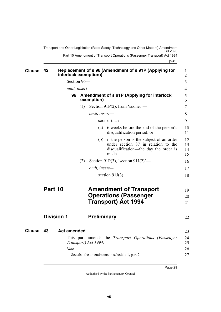<span id="page-30-9"></span><span id="page-30-8"></span><span id="page-30-7"></span><span id="page-30-6"></span><span id="page-30-5"></span><span id="page-30-4"></span><span id="page-30-3"></span><span id="page-30-2"></span><span id="page-30-1"></span><span id="page-30-0"></span>

| <b>Clause</b> | 42                | interlock exemption)) |     |                                                                                             | Replacement of s 96 (Amendment of s 91P (Applying for                                                                             | 1<br>$\overline{2}$  |  |  |  |  |  |  |
|---------------|-------------------|-----------------------|-----|---------------------------------------------------------------------------------------------|-----------------------------------------------------------------------------------------------------------------------------------|----------------------|--|--|--|--|--|--|
|               | Section 96-       |                       |     |                                                                                             |                                                                                                                                   |                      |  |  |  |  |  |  |
|               |                   | omit, insert-         |     |                                                                                             |                                                                                                                                   | $\overline{4}$       |  |  |  |  |  |  |
|               |                   | 96                    |     | Amendment of s 91P (Applying for interlock<br>exemption)                                    |                                                                                                                                   |                      |  |  |  |  |  |  |
|               |                   |                       | (1) |                                                                                             | Section 91P $(2)$ , from 'sooner'—                                                                                                | $\overline{7}$       |  |  |  |  |  |  |
|               |                   |                       |     | omit, insert-                                                                               |                                                                                                                                   | 8                    |  |  |  |  |  |  |
|               |                   |                       |     |                                                                                             | sooner than—                                                                                                                      | 9                    |  |  |  |  |  |  |
|               |                   |                       |     | (a)                                                                                         | 6 weeks before the end of the person's<br>disqualification period; or                                                             | 10<br>11             |  |  |  |  |  |  |
|               |                   |                       |     | (b)                                                                                         | if the person is the subject of an order<br>under section 87 in relation to the<br>disqualification—the day the order is<br>made. | 12<br>13<br>14<br>15 |  |  |  |  |  |  |
|               |                   |                       | (2) |                                                                                             | Section 91P(3), 'section $91J(2)$ '—                                                                                              | 16                   |  |  |  |  |  |  |
|               |                   |                       |     | omit, insert-                                                                               |                                                                                                                                   | 17                   |  |  |  |  |  |  |
|               |                   |                       |     | section $91J(3)$                                                                            |                                                                                                                                   |                      |  |  |  |  |  |  |
|               | Part 10           |                       |     | <b>Amendment of Transport</b><br><b>Operations (Passenger</b><br><b>Transport) Act 1994</b> |                                                                                                                                   |                      |  |  |  |  |  |  |
|               |                   |                       |     |                                                                                             |                                                                                                                                   |                      |  |  |  |  |  |  |
|               | <b>Division 1</b> |                       |     | <b>Preliminary</b>                                                                          |                                                                                                                                   | 22                   |  |  |  |  |  |  |
| <b>Clause</b> | 43                | <b>Act amended</b>    |     |                                                                                             |                                                                                                                                   | 23                   |  |  |  |  |  |  |
|               |                   |                       |     | Transport) Act 1994.                                                                        | This part amends the <i>Transport Operations (Passenger</i> )                                                                     | 24<br>25             |  |  |  |  |  |  |
|               |                   | $Note-$               |     |                                                                                             | See also the amendments in schedule 1, part 2.                                                                                    | 26<br>27             |  |  |  |  |  |  |
|               |                   |                       |     |                                                                                             |                                                                                                                                   |                      |  |  |  |  |  |  |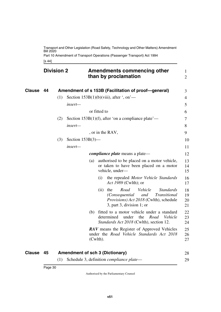Part 10 Amendment of Transport Operations (Passenger Transport) Act 1994

<span id="page-31-3"></span><span id="page-31-2"></span><span id="page-31-1"></span><span id="page-31-0"></span>[s 44]

|        | <b>Division 2</b> |     |                     |     |              | Amendments commencing other<br>than by proclamation                                                                                                               | $\mathbf{1}$<br>$\overline{2}$ |
|--------|-------------------|-----|---------------------|-----|--------------|-------------------------------------------------------------------------------------------------------------------------------------------------------------------|--------------------------------|
| Clause | 44                |     |                     |     |              | Amendment of s 153B (Facilitation of proof-general)                                                                                                               | 3                              |
|        |                   | (1) |                     |     |              | Section $153B(1)(b)(viii)$ , after ', on'—                                                                                                                        | $\overline{4}$                 |
|        |                   |     | insert-             |     |              |                                                                                                                                                                   | 5                              |
|        |                   |     |                     |     | or fitted to |                                                                                                                                                                   | 6                              |
|        |                   | (2) |                     |     |              | Section $153B(1)(f)$ , after 'on a compliance plate'—                                                                                                             | 7                              |
|        |                   |     | insert-             |     |              |                                                                                                                                                                   | 8                              |
|        |                   |     |                     |     |              | , or in the RAV,                                                                                                                                                  | 9                              |
|        |                   | (3) | Section $153B(3)$ — |     |              |                                                                                                                                                                   | 10                             |
|        |                   |     | insert-             |     |              |                                                                                                                                                                   | 11                             |
|        |                   |     |                     |     |              | <i>compliance plate</i> means a plate—                                                                                                                            | 12                             |
|        |                   |     |                     | (a) |              | authorised to be placed on a motor vehicle,<br>or taken to have been placed on a motor<br>vehicle, under-                                                         | 13<br>14<br>15                 |
|        |                   |     |                     |     | (i)          | the repealed Motor Vehicle Standards<br><i>Act 1989</i> (Cwlth); or                                                                                               | 16<br>17                       |
|        |                   |     |                     |     | (ii)         | Road<br>Vehicle<br>the<br><b>Standards</b><br>(Consequential<br>Transitional<br>and<br><i>Provisions) Act 2018</i> (Cwlth), schedule<br>3, part 3, division 1; or | 18<br>19<br>20<br>21           |
|        |                   |     |                     | (b) |              | fitted to a motor vehicle under a standard<br>determined<br>under<br>the<br>Road<br>Vehicle<br>Standards Act 2018 (Cwlth), section 12.                            | 22<br>23<br>24                 |
|        |                   |     |                     |     | $(Cwlth)$ .  | <b>RAV</b> means the Register of Approved Vehicles<br>under the Road Vehicle Standards Act 2018                                                                   | 25<br>26<br>27                 |
|        |                   |     |                     |     |              |                                                                                                                                                                   |                                |

<span id="page-31-5"></span><span id="page-31-4"></span>

| Clause 45 | <b>Amendment of sch 3 (Dictionary)</b>                 | 28 |
|-----------|--------------------------------------------------------|----|
|           | $(1)$ Schedule 3, definition <i>compliance plate</i> — |    |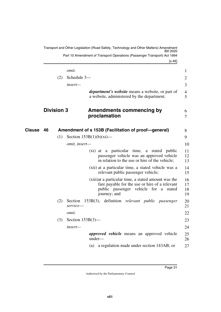<span id="page-32-3"></span><span id="page-32-2"></span><span id="page-32-1"></span><span id="page-32-0"></span>

|               |                   |                     | Transport and Other Legislation (Road Safety, Technology and Other Matters) Amendment<br>Part 10 Amendment of Transport Operations (Passenger Transport) Act 1994<br>[s 46] |                      |
|---------------|-------------------|---------------------|-----------------------------------------------------------------------------------------------------------------------------------------------------------------------------|----------------------|
|               |                   | omit.               |                                                                                                                                                                             | 1                    |
|               | (2)               | Schedule 3-         |                                                                                                                                                                             | $\overline{2}$       |
|               |                   | insert-             |                                                                                                                                                                             | 3                    |
|               |                   |                     | <i>department's website</i> means a website, or part of<br>a website, administered by the department.                                                                       | 4<br>5               |
|               | <b>Division 3</b> |                     | <b>Amendments commencing by</b><br>proclamation                                                                                                                             | 6<br>$\overline{7}$  |
| <b>Clause</b> | 46                |                     | Amendment of s 153B (Facilitation of proof-general)                                                                                                                         | 8                    |
|               | (1)               |                     | Section $153B(1)(b)(xi)$ —                                                                                                                                                  | 9                    |
|               |                   | omit, insert-       |                                                                                                                                                                             | 10                   |
|               |                   |                     | (xi) at a particular time, a stated public<br>passenger vehicle was an approved vehicle<br>in relation to the use or hire of the vehicle;                                   | 11<br>12<br>13       |
|               |                   |                     | (xii) at a particular time, a stated vehicle was a<br>relevant public passenger vehicle;                                                                                    | 14<br>15             |
|               |                   |                     | (xiii) at a particular time, a stated amount was the<br>fare payable for the use or hire of a relevant<br>public passenger vehicle for a stated<br>journey; and             | 16<br>17<br>18<br>19 |
|               | (2)               | Section<br>service- | 153B(3), definition relevant public passenger                                                                                                                               | 20<br>21             |
|               |                   | omit.               |                                                                                                                                                                             | 22                   |
|               | (3)               | Section $153B(3)$ — |                                                                                                                                                                             | 23                   |
|               |                   | insert-             |                                                                                                                                                                             | 24                   |
|               |                   |                     | <i>approved vehicle</i> means an approved vehicle<br>under-                                                                                                                 | 25<br>26             |
|               |                   |                     | a regulation made under section 143AB; or<br>(a)                                                                                                                            | 27                   |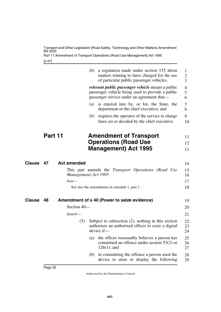Part 11 Amendment of Transport Operations (Road Use Management) Act 1995

<span id="page-33-1"></span>[s 47]

<span id="page-33-5"></span><span id="page-33-4"></span><span id="page-33-3"></span><span id="page-33-2"></span><span id="page-33-0"></span>

|               |         |                    | (b)                                                                                 | a regulation made under section 155 about<br>matters relating to fares charged for the use<br>of particular public passenger vehicles.                    | 1<br>$\overline{2}$<br>3           |  |  |
|---------------|---------|--------------------|-------------------------------------------------------------------------------------|-----------------------------------------------------------------------------------------------------------------------------------------------------------|------------------------------------|--|--|
|               |         |                    |                                                                                     | <i>relevant public passenger vehicle</i> means a public<br>passenger vehicle being used to provide a public<br>passenger service under an agreement that— | $\overline{\mathcal{A}}$<br>5<br>6 |  |  |
|               |         |                    | (a)                                                                                 | is entered into by, or for, the State, the<br>department or the chief executive; and                                                                      | 7<br>8                             |  |  |
|               |         |                    |                                                                                     | (b) requires the operator of the service to charge<br>fares set or decided by the chief executive.                                                        | 9<br>10                            |  |  |
|               | Part 11 |                    |                                                                                     | <b>Amendment of Transport</b>                                                                                                                             | 11                                 |  |  |
|               |         |                    |                                                                                     | <b>Operations (Road Use</b><br><b>Management</b> ) Act 1995                                                                                               | 12<br>13                           |  |  |
| <b>Clause</b> | 47      | <b>Act amended</b> |                                                                                     |                                                                                                                                                           | 14                                 |  |  |
|               |         |                    | This part amends the <i>Transport Operations (Road Use</i><br>Management) Act 1995. |                                                                                                                                                           |                                    |  |  |
|               |         | $Note-$            |                                                                                     |                                                                                                                                                           | 17                                 |  |  |
|               |         |                    |                                                                                     | See also the amendments in schedule 1, part 1.                                                                                                            | 18                                 |  |  |
| <b>Clause</b> | 48      |                    |                                                                                     | Amendment of s 40 (Power to seize evidence)                                                                                                               | 19                                 |  |  |
|               |         | Section 40-        |                                                                                     |                                                                                                                                                           | 20                                 |  |  |
|               |         | insert—            |                                                                                     |                                                                                                                                                           | 21                                 |  |  |
|               |         | (5)                |                                                                                     | Subject to subsection $(2)$ , nothing in this section<br>authorises an authorised officer to seize a digital<br>device if-                                | 22<br>23<br>24                     |  |  |
|               |         |                    | (a)                                                                                 | the officer reasonably believes a person has<br>committed an offence under section $53(2)$ or<br>$126(1)$ ; and                                           | 25<br>26<br>27                     |  |  |
|               |         |                    |                                                                                     | (b) in committing the offence a person used the<br>device to store or display the following                                                               | 28<br>29                           |  |  |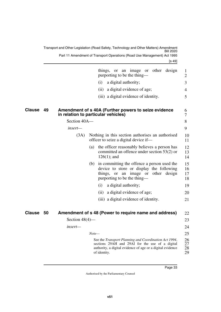<span id="page-34-3"></span><span id="page-34-2"></span><span id="page-34-1"></span><span id="page-34-0"></span>

|               |    |                   | things, or an image or other design<br>purporting to be the thing—                                                                                                                     | 1<br>$\overline{2}$  |
|---------------|----|-------------------|----------------------------------------------------------------------------------------------------------------------------------------------------------------------------------------|----------------------|
|               |    |                   | (i)<br>a digital authority;                                                                                                                                                            | 3                    |
|               |    |                   | a digital evidence of age;<br>(ii)                                                                                                                                                     | 4                    |
|               |    |                   | (iii) a digital evidence of identity.                                                                                                                                                  | 5                    |
| Clause        | 49 |                   | Amendment of s 40A (Further powers to seize evidence<br>in relation to particular vehicles)                                                                                            | 6<br>7               |
|               |    | Section 40A-      |                                                                                                                                                                                        | 8                    |
|               |    | insert—           |                                                                                                                                                                                        | 9                    |
|               |    | (3A)              | Nothing in this section authorises an authorised<br>officer to seize a digital device if—                                                                                              | 10<br>11             |
|               |    |                   | the officer reasonably believes a person has<br>(a)<br>committed an offence under section $53(2)$ or<br>$126(1)$ ; and                                                                 | 12<br>13<br>14       |
|               |    |                   | (b) in committing the offence a person used the<br>device to store or display the following<br>things, or an<br>image or other design<br>purporting to be the thing—                   | 15<br>16<br>17<br>18 |
|               |    |                   | a digital authority;<br>(i)                                                                                                                                                            | 19                   |
|               |    |                   | (ii) a digital evidence of age;                                                                                                                                                        | 20                   |
|               |    |                   | (iii) a digital evidence of identity.                                                                                                                                                  | 21                   |
| <b>Clause</b> | 50 |                   | Amendment of s 48 (Power to require name and address)                                                                                                                                  | 22                   |
|               |    | Section $48(4)$ — |                                                                                                                                                                                        | 23                   |
|               |    | $insert-$         |                                                                                                                                                                                        | 24                   |
|               |    |                   | $Note-$                                                                                                                                                                                | 25                   |
|               |    |                   | See the Transport Planning and Coordination Act 1994,<br>sections 29AH and 29AI for the use of a digital<br>authority, a digital evidence of age or a digital evidence<br>of identity. | 26<br>27<br>28<br>29 |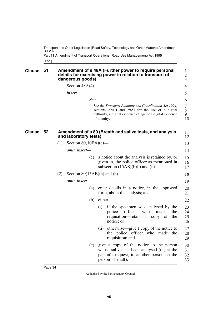Part 11 Amendment of Transport Operations (Road Use Management) Act 1995

<span id="page-35-1"></span><span id="page-35-0"></span>[s 51]

<span id="page-35-3"></span><span id="page-35-2"></span>

| <b>Clause</b> | 51 |     | dangerous goods)               |                   |              | Amendment of s 48A (Further power to require personal<br>details for exercising power in relation to transport of                                                      | 1<br>$\overline{c}$<br>3 |
|---------------|----|-----|--------------------------------|-------------------|--------------|------------------------------------------------------------------------------------------------------------------------------------------------------------------------|--------------------------|
|               |    |     | Section $48A(4)$ —             |                   |              |                                                                                                                                                                        | 4                        |
|               |    |     | insert-                        |                   |              |                                                                                                                                                                        | 5                        |
|               |    |     |                                | $Note-$           |              |                                                                                                                                                                        | 6                        |
|               |    |     |                                |                   | of identity. | See the Transport Planning and Coordination Act 1994,<br>sections 29AH and 29AI for the use of a digital<br>authority, a digital evidence of age or a digital evidence | 7<br>8<br>9<br>10        |
| <b>Clause</b> | 52 |     | and laboratory tests)          |                   |              | Amendment of s 80 (Breath and saliva tests, and analysis                                                                                                               | 11<br>12                 |
|               |    | (1) | Section $80(10EA)(c)$ —        |                   |              |                                                                                                                                                                        | 13                       |
|               |    |     | omit, insert-                  |                   |              |                                                                                                                                                                        | 14                       |
|               |    |     |                                | (c)               |              | a notice about the analysis is retained by, or<br>given to, the police officer as mentioned in<br>subsection $(15AB)(b)(i)$ and (ii).                                  | 15<br>16<br>17           |
|               |    | (2) | Section $80(15AB)(a)$ and (b)— |                   |              |                                                                                                                                                                        | 18                       |
|               |    |     | <i>omit, insert—</i>           |                   |              |                                                                                                                                                                        | 19                       |
|               |    |     |                                | $\left( a\right)$ |              | enter details in a notice, in the approved<br>form, about the analysis; and                                                                                            | 20<br>21                 |
|               |    |     |                                | (b)               | either-      |                                                                                                                                                                        | 22                       |
|               |    |     |                                |                   | (i)          | if the specimen was analysed by the<br>police<br>officer<br>made<br>who<br>the<br>requisition—retain 1 copy of<br>the<br>notice; or                                    | 23<br>24<br>25<br>26     |
|               |    |     |                                |                   | (i)          | otherwise—give 1 copy of the notice to<br>the police officer who made the<br>requisition; and                                                                          | 27<br>28<br>29           |
|               |    |     |                                | (c)               |              | give a copy of the notice to the person<br>whose saliva has been analysed (or, at the<br>person's request, to another person on the<br>person's behalf).               | 30<br>31<br>32<br>33     |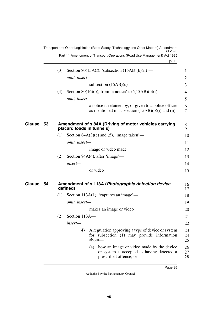<span id="page-36-3"></span><span id="page-36-2"></span><span id="page-36-1"></span><span id="page-36-0"></span>

|        |    |     |               | Transport and Other Legislation (Road Safety, Technology and Other Matters) Amendment<br>3ill 2020<br>Part 11 Amendment of Transport Operations (Road Use Management) Act 1995 |                |
|--------|----|-----|---------------|--------------------------------------------------------------------------------------------------------------------------------------------------------------------------------|----------------|
|        |    |     |               | [s 53]                                                                                                                                                                         |                |
|        |    | (3) |               | Section 80(15AC), 'subsection $(15AB)(b)(ii)'$ —                                                                                                                               | $\mathbf{1}$   |
|        |    |     | omit, insert- |                                                                                                                                                                                | 2              |
|        |    |     |               | subsection $(15AB)(c)$                                                                                                                                                         | 3              |
|        |    | (4) |               | Section 80(16)(b), from 'a notice' to ' $(15AB)(b)(i)$ '—                                                                                                                      | $\overline{4}$ |
|        |    |     | omit, insert- |                                                                                                                                                                                | 5              |
|        |    |     |               | a notice is retained by, or given to a police officer<br>as mentioned in subsection $(15AB)(b)(i)$ and $(ii)$                                                                  | 6<br>7         |
| Clause | 53 |     |               | Amendment of s 84A (Driving of motor vehicles carrying<br>placard loads in tunnels)                                                                                            | 8<br>9         |
|        |    | (1) |               | Section $84A(3)(c)$ and (5), 'image taken'—                                                                                                                                    | 10             |
|        |    |     | omit, insert- |                                                                                                                                                                                | 11             |
|        |    |     |               | image or video made                                                                                                                                                            | 12             |
|        |    | (2) |               | Section 84A $(4)$ , after 'image'—                                                                                                                                             | 13             |
|        |    |     | insert-       |                                                                                                                                                                                | 14             |
|        |    |     |               | or video                                                                                                                                                                       | 15             |
| Clause | 54 |     | defined)      | Amendment of s 113A (Photographic detection device                                                                                                                             | 16<br>17       |
|        |    | (1) |               | Section 113A $(1)$ , 'captures an image'—                                                                                                                                      | 18             |
|        |    |     | omit, insert- |                                                                                                                                                                                | 19             |
|        |    |     |               | makes an image or video                                                                                                                                                        | 20             |
|        |    | (2) | Section 113A- |                                                                                                                                                                                | 21             |
|        |    |     | insert—       |                                                                                                                                                                                | 22             |
|        |    |     | (4)           | A regulation approving a type of device or system<br>for subsection (1) may provide information<br>about-                                                                      | 23<br>24<br>25 |
|        |    |     |               | how an image or video made by the device<br>(a)<br>or system is accepted as having detected a<br>prescribed offence; or                                                        | 26<br>27<br>28 |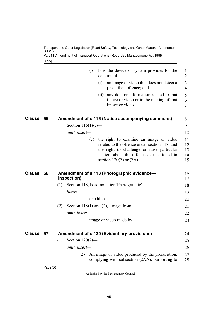Transport and Other Legislation (Road Safety, Technology and Other Matters) Amendment Bill 2020 Part 11 Amendment of Transport Operations (Road Use Management) Act 1995

<span id="page-37-1"></span>[s 55]

<span id="page-37-5"></span><span id="page-37-4"></span><span id="page-37-3"></span><span id="page-37-2"></span><span id="page-37-0"></span>

|               |    |                                                    | (b) how the device or system provides for the<br>deletion of-                                                                                                                                                          | 1<br>$\overline{2}$        |
|---------------|----|----------------------------------------------------|------------------------------------------------------------------------------------------------------------------------------------------------------------------------------------------------------------------------|----------------------------|
|               |    | (i)                                                | an image or video that does not detect a<br>prescribed offence; and                                                                                                                                                    | 3<br>$\overline{4}$        |
|               |    |                                                    | (ii) any data or information related to that<br>image or video or to the making of that<br>image or video.                                                                                                             | 5<br>6<br>7                |
| Clause        | 55 |                                                    | Amendment of s 116 (Notice accompanying summons)                                                                                                                                                                       | 8                          |
|               |    | Section $116(1)(c)$ —                              |                                                                                                                                                                                                                        | 9                          |
|               |    | omit, insert-                                      |                                                                                                                                                                                                                        | 10                         |
|               |    |                                                    | (c) the right to examine an image or video<br>related to the offence under section 118, and<br>the right to challenge or raise particular<br>matters about the offence as mentioned in<br>section $120(7)$ or $(7A)$ . | 11<br>12<br>13<br>14<br>15 |
| <b>Clause</b> | 56 | inspection)                                        | Amendment of s 118 (Photographic evidence-                                                                                                                                                                             | 16<br>17                   |
|               |    | (1)                                                | Section 118, heading, after 'Photographic'—                                                                                                                                                                            | 18                         |
|               |    | insert-                                            |                                                                                                                                                                                                                        | 19                         |
|               |    | or video                                           |                                                                                                                                                                                                                        | 20                         |
|               |    | Section 118(1) and (2), 'image from'—<br>(2)       |                                                                                                                                                                                                                        | 21                         |
|               |    | omit, insert-                                      |                                                                                                                                                                                                                        | 22                         |
|               |    |                                                    | image or video made by                                                                                                                                                                                                 | 23                         |
| Clause        | 57 | <b>Amendment of s 120 (Evidentiary provisions)</b> |                                                                                                                                                                                                                        | 24                         |
|               |    | Section $120(2)$ —<br>(1)                          |                                                                                                                                                                                                                        | 25                         |
|               |    | omit, insert-                                      |                                                                                                                                                                                                                        | 26                         |
|               |    | (2)                                                | An image or video produced by the prosecution,<br>complying with subsection (2AA), purporting to                                                                                                                       | 27<br>28                   |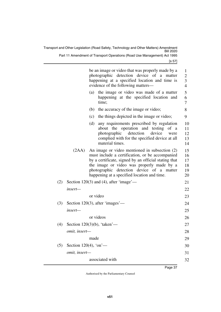[s 57]

|     |                       |      | be an image or video that was properly made by a<br>photographic detection device of a matter<br>happening at a specified location and time is<br>evidence of the following matters—                                                                                                              | $\mathbf{1}$<br>$\overline{2}$<br>3<br>$\overline{4}$ |
|-----|-----------------------|------|---------------------------------------------------------------------------------------------------------------------------------------------------------------------------------------------------------------------------------------------------------------------------------------------------|-------------------------------------------------------|
|     |                       | (a)  | the image or video was made of a matter<br>happening at the specified location and<br>time;                                                                                                                                                                                                       | 5<br>6<br>7                                           |
|     |                       | (b)  | the accuracy of the image or video;                                                                                                                                                                                                                                                               | 8                                                     |
|     |                       | (c)  | the things depicted in the image or video;                                                                                                                                                                                                                                                        | 9                                                     |
|     |                       | (d)  | any requirements prescribed by regulation<br>about the operation and testing<br>of a<br>detection<br>photographic<br>device<br>were<br>complied with for the specified device at all<br>material times.                                                                                           | 10<br>11<br>12<br>13<br>14                            |
|     | (2AA)                 |      | An image or video mentioned in subsection (2)<br>must include a certification, or be accompanied<br>by a certificate, signed by an official stating that<br>the image or video was properly made by a<br>photographic detection device of a matter<br>happening at a specified location and time. | 15<br>16<br>17<br>18<br>19<br>20                      |
| (2) |                       |      | Section 120(3) and (4), after 'image'—                                                                                                                                                                                                                                                            | 21                                                    |
|     | insert—               |      |                                                                                                                                                                                                                                                                                                   | 22                                                    |
|     |                       |      | or video                                                                                                                                                                                                                                                                                          | 23                                                    |
| (3) |                       |      | Section 120(3), after 'images'—                                                                                                                                                                                                                                                                   | 24                                                    |
|     | insert-               |      |                                                                                                                                                                                                                                                                                                   | 25                                                    |
|     |                       |      | or videos                                                                                                                                                                                                                                                                                         | 26                                                    |
| (4) |                       |      | Section $120(3)(b)$ , 'taken'—                                                                                                                                                                                                                                                                    | 27                                                    |
|     | <i>omit, insert—</i>  |      |                                                                                                                                                                                                                                                                                                   | 28                                                    |
|     |                       | made |                                                                                                                                                                                                                                                                                                   | 29                                                    |
| (5) | Section 120(4), 'on'- |      |                                                                                                                                                                                                                                                                                                   | 30                                                    |
|     | omit, insert-         |      |                                                                                                                                                                                                                                                                                                   | 31                                                    |
|     |                       |      | associated with                                                                                                                                                                                                                                                                                   | 32                                                    |
|     |                       |      |                                                                                                                                                                                                                                                                                                   |                                                       |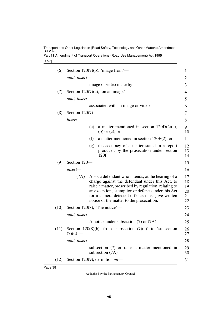Part 11 Amendment of Transport Operations (Road Use Management) Act 1995

[s 57]

|                         |     |                                                                                                   | 1                                                                                                                                                                                                                                                                                                                                                                                                                                                                                                                                                                                                                                                                                                                                                  |
|-------------------------|-----|---------------------------------------------------------------------------------------------------|----------------------------------------------------------------------------------------------------------------------------------------------------------------------------------------------------------------------------------------------------------------------------------------------------------------------------------------------------------------------------------------------------------------------------------------------------------------------------------------------------------------------------------------------------------------------------------------------------------------------------------------------------------------------------------------------------------------------------------------------------|
|                         |     |                                                                                                   | 2                                                                                                                                                                                                                                                                                                                                                                                                                                                                                                                                                                                                                                                                                                                                                  |
|                         |     |                                                                                                   | 3                                                                                                                                                                                                                                                                                                                                                                                                                                                                                                                                                                                                                                                                                                                                                  |
|                         |     |                                                                                                   | 4                                                                                                                                                                                                                                                                                                                                                                                                                                                                                                                                                                                                                                                                                                                                                  |
|                         |     |                                                                                                   | 5                                                                                                                                                                                                                                                                                                                                                                                                                                                                                                                                                                                                                                                                                                                                                  |
|                         |     |                                                                                                   | 6                                                                                                                                                                                                                                                                                                                                                                                                                                                                                                                                                                                                                                                                                                                                                  |
|                         |     |                                                                                                   | 7                                                                                                                                                                                                                                                                                                                                                                                                                                                                                                                                                                                                                                                                                                                                                  |
| insert—                 |     |                                                                                                   | 8                                                                                                                                                                                                                                                                                                                                                                                                                                                                                                                                                                                                                                                                                                                                                  |
|                         | (e) | a matter mentioned in section $120D(2)(a)$ ,<br>$(b)$ or $(c)$ ; or                               | 9<br>10                                                                                                                                                                                                                                                                                                                                                                                                                                                                                                                                                                                                                                                                                                                                            |
|                         | (f) | a matter mentioned in section $120E(2)$ ; or                                                      | 11                                                                                                                                                                                                                                                                                                                                                                                                                                                                                                                                                                                                                                                                                                                                                 |
|                         | (g) | the accuracy of a matter stated in a report<br>produced by the prosecution under section<br>120F; | 12<br>13<br>14                                                                                                                                                                                                                                                                                                                                                                                                                                                                                                                                                                                                                                                                                                                                     |
|                         |     |                                                                                                   | 15                                                                                                                                                                                                                                                                                                                                                                                                                                                                                                                                                                                                                                                                                                                                                 |
| insert—                 |     |                                                                                                   | 16                                                                                                                                                                                                                                                                                                                                                                                                                                                                                                                                                                                                                                                                                                                                                 |
|                         |     |                                                                                                   | 17<br>18<br>19<br>20<br>21<br>22                                                                                                                                                                                                                                                                                                                                                                                                                                                                                                                                                                                                                                                                                                                   |
|                         |     |                                                                                                   | 23                                                                                                                                                                                                                                                                                                                                                                                                                                                                                                                                                                                                                                                                                                                                                 |
|                         |     |                                                                                                   | 24                                                                                                                                                                                                                                                                                                                                                                                                                                                                                                                                                                                                                                                                                                                                                 |
|                         |     |                                                                                                   | 25                                                                                                                                                                                                                                                                                                                                                                                                                                                                                                                                                                                                                                                                                                                                                 |
| $(7)(d)$ <sup>'</sup> — |     |                                                                                                   | 26<br>27                                                                                                                                                                                                                                                                                                                                                                                                                                                                                                                                                                                                                                                                                                                                           |
|                         |     |                                                                                                   | 28                                                                                                                                                                                                                                                                                                                                                                                                                                                                                                                                                                                                                                                                                                                                                 |
|                         |     |                                                                                                   | 29<br>30                                                                                                                                                                                                                                                                                                                                                                                                                                                                                                                                                                                                                                                                                                                                           |
|                         |     |                                                                                                   | 31                                                                                                                                                                                                                                                                                                                                                                                                                                                                                                                                                                                                                                                                                                                                                 |
|                         |     | omit, insert-<br>omit, insert-<br>Section 120-<br>(7A)<br>omit, insert-<br>omit, insert-          | Section $120(7)(b)$ , 'image from'—<br>image or video made by<br>Section $120(7)(c)$ , 'on an image'—<br>associated with an image or video<br>Section $120(7)$ —<br>Also, a defendant who intends, at the hearing of a<br>charge against the defendant under this Act, to<br>raise a matter, prescribed by regulation, relating to<br>an exception, exemption or defence under this Act<br>for a camera-detected offence must give written<br>notice of the matter to the prosecution.<br>Section 120(8), 'The notice'—<br>A notice under subsection $(7)$ or $(7A)$<br>Section 120(8)(b), from 'subsection $(7)(a)$ ' to 'subsection<br>subsection (7) or raise a matter mentioned in<br>subsection (7A)<br>Section 120(9), definition $\omega$ - |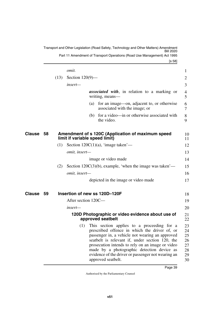<span id="page-40-5"></span><span id="page-40-4"></span><span id="page-40-3"></span><span id="page-40-2"></span><span id="page-40-1"></span><span id="page-40-0"></span>

|              |      | omit.                                                                                                                                                                                                                                                                                                                                                                                  | 1                                            |
|--------------|------|----------------------------------------------------------------------------------------------------------------------------------------------------------------------------------------------------------------------------------------------------------------------------------------------------------------------------------------------------------------------------------------|----------------------------------------------|
|              | (13) | Section $120(9)$ —                                                                                                                                                                                                                                                                                                                                                                     | 2                                            |
|              |      | insert—                                                                                                                                                                                                                                                                                                                                                                                | 3                                            |
|              |      | <b>associated with</b> , in relation to a marking or<br>writing, means—                                                                                                                                                                                                                                                                                                                | 4<br>5                                       |
|              |      | for an image—on, adjacent to, or otherwise<br>(a)<br>associated with the image; or                                                                                                                                                                                                                                                                                                     | 6<br>7                                       |
|              |      | (b) for a video—in or otherwise associated with<br>the video.                                                                                                                                                                                                                                                                                                                          | 8<br>9                                       |
| Clause<br>58 |      | Amendment of s 120C (Application of maximum speed<br>limit if variable speed limit)                                                                                                                                                                                                                                                                                                    | 10<br>11                                     |
|              | (1)  | Section $120C(1)(a)$ , 'image taken'—                                                                                                                                                                                                                                                                                                                                                  | 12                                           |
|              |      | omit, insert-                                                                                                                                                                                                                                                                                                                                                                          | 13                                           |
|              |      | image or video made                                                                                                                                                                                                                                                                                                                                                                    | 14                                           |
|              | (2)  | Section $120C(3)(b)$ , example, 'when the image was taken'—                                                                                                                                                                                                                                                                                                                            | 15                                           |
|              |      | omit, insert-                                                                                                                                                                                                                                                                                                                                                                          | 16                                           |
|              |      | depicted in the image or video made                                                                                                                                                                                                                                                                                                                                                    | 17                                           |
| Clause<br>59 |      | Insertion of new ss 120D-120F                                                                                                                                                                                                                                                                                                                                                          | 18                                           |
|              |      | After section 120C—                                                                                                                                                                                                                                                                                                                                                                    | 19                                           |
|              |      | insert—                                                                                                                                                                                                                                                                                                                                                                                | 20                                           |
|              |      | 120D Photographic or video evidence about use of<br>approved seatbelt                                                                                                                                                                                                                                                                                                                  | 21<br>22                                     |
|              |      | This section applies to a proceeding for a<br>(1)<br>prescribed offence in which the driver of, or<br>passenger in, a vehicle not wearing an approved<br>seatbelt is relevant if, under section 120, the<br>prosecution intends to rely on an image or video<br>made by a photographic detection device as<br>evidence of the driver or passenger not wearing an<br>approved seatbelt. | 23<br>24<br>25<br>26<br>27<br>28<br>29<br>30 |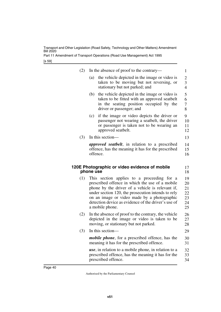Part 11 Amendment of Transport Operations (Road Use Management) Act 1995

[s 59]

<span id="page-41-1"></span><span id="page-41-0"></span>

| (2) | In the absence of proof to the contrary—                                                                                                                                                                                                                                                                                         | 1                                      |
|-----|----------------------------------------------------------------------------------------------------------------------------------------------------------------------------------------------------------------------------------------------------------------------------------------------------------------------------------|----------------------------------------|
|     | the vehicle depicted in the image or video is<br>(a)<br>taken to be moving but not reversing, or<br>stationary but not parked; and                                                                                                                                                                                               | $\overline{2}$<br>3<br>$\overline{4}$  |
|     | the vehicle depicted in the image or video is<br>(b)<br>taken to be fitted with an approved seatbelt<br>in the seating position occupied by the<br>driver or passenger; and                                                                                                                                                      | 5<br>6<br>$\overline{7}$<br>8          |
|     | if the image or video depicts the driver or<br>(c)<br>passenger not wearing a seatbelt, the driver<br>or passenger is taken not to be wearing an<br>approved seatbelt.                                                                                                                                                           | 9<br>10<br>11<br>12                    |
| (3) | In this section-                                                                                                                                                                                                                                                                                                                 | 13                                     |
|     | <i>approved seatbelt</i> , in relation to a prescribed<br>offence, has the meaning it has for the prescribed<br>offence.                                                                                                                                                                                                         | 14<br>15<br>16                         |
|     | 120E Photographic or video evidence of mobile<br>phone use                                                                                                                                                                                                                                                                       | 17<br>18                               |
| (1) | This section applies to a proceeding for a<br>prescribed offence in which the use of a mobile<br>phone by the driver of a vehicle is relevant if,<br>under section 120, the prosecution intends to rely<br>on an image or video made by a photographic<br>detection device as evidence of the driver's use of<br>a mobile phone. | 19<br>20<br>21<br>22<br>23<br>24<br>25 |
| (2) | In the absence of proof to the contrary, the vehicle<br>depicted in the image or video is taken to be<br>moving, or stationary but not parked.                                                                                                                                                                                   | 26<br>27<br>28                         |
| (3) | In this section-                                                                                                                                                                                                                                                                                                                 | 29                                     |
|     | <i>mobile phone</i> , for a prescribed offence, has the<br>meaning it has for the prescribed offence.                                                                                                                                                                                                                            | 30<br>31                               |
|     | <i>use</i> , in relation to a mobile phone, in relation to a<br>prescribed offence, has the meaning it has for the<br>prescribed offence.                                                                                                                                                                                        | 32<br>33<br>34                         |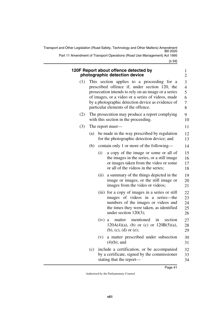[s 59] Transport and Other Legislation (Road Safety, Technology and Other Matters) Amendment Bill 2020 Part 11 Amendment of Transport Operations (Road Use Management) Act 1995

<span id="page-42-1"></span><span id="page-42-0"></span>

|     |     |                                                                                        | 120F Report about offence detected by<br>photographic detection device                                                                                                                                                                                                                              | $\mathbf{1}$<br>$\overline{c}$                       |  |  |
|-----|-----|----------------------------------------------------------------------------------------|-----------------------------------------------------------------------------------------------------------------------------------------------------------------------------------------------------------------------------------------------------------------------------------------------------|------------------------------------------------------|--|--|
| (1) |     |                                                                                        | This section applies to a proceeding for a<br>prescribed offence if, under section 120, the<br>prosecution intends to rely on an image or a series<br>of images, or a video or a series of videos, made<br>by a photographic detection device as evidence of<br>particular elements of the offence. | 3<br>$\overline{4}$<br>5<br>6<br>$\overline{7}$<br>8 |  |  |
| (2) |     | The prosecution may produce a report complying<br>with this section in the proceeding. |                                                                                                                                                                                                                                                                                                     |                                                      |  |  |
| (3) |     |                                                                                        | The report must—                                                                                                                                                                                                                                                                                    | 11                                                   |  |  |
|     | (a) |                                                                                        | be made in the way prescribed by regulation<br>for the photographic detection device; and                                                                                                                                                                                                           | 12<br>13                                             |  |  |
|     | (b) |                                                                                        | contain only 1 or more of the following—                                                                                                                                                                                                                                                            | 14                                                   |  |  |
|     |     | (i)                                                                                    | a copy of the image or some or all of<br>the images in the series, or a still image<br>or images taken from the video or some<br>or all of the videos in the series;                                                                                                                                | 15<br>16<br>17<br>18                                 |  |  |
|     |     | (ii)                                                                                   | a summary of the things depicted in the<br>image or images, or the still image or<br>images from the video or videos;                                                                                                                                                                               | 19<br>20<br>21                                       |  |  |
|     |     |                                                                                        | (iii) for a copy of images in a series or still<br>images of videos in a series—the<br>numbers of the images or videos and<br>the times they were taken, as identified<br>under section $120(3)$ ;                                                                                                  | 22<br>23<br>24<br>25<br>26                           |  |  |
|     |     | (iv)                                                                                   | mentioned<br>in<br>section<br>matter<br>a<br>$120A(4)(a)$ , (b) or (c) or $120B(5)(a)$ ,<br>$(b), (c), (d)$ or $(e);$                                                                                                                                                                               | 27<br>28<br>29                                       |  |  |
|     |     | (v)                                                                                    | a matter prescribed under subsection<br>$(4)(b)$ ; and                                                                                                                                                                                                                                              | 30<br>31                                             |  |  |
|     | (c) |                                                                                        | include a certification, or be accompanied<br>by a certificate, signed by the commissioner                                                                                                                                                                                                          | 32<br>33                                             |  |  |

34

stating that the report—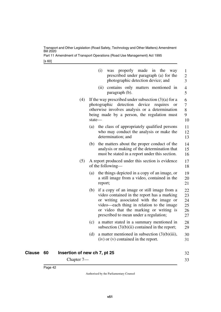Part 11 Amendment of Transport Operations (Road Use Management) Act 1995

[s 60]

|     | (i)<br>properly made<br>in the way<br>was<br>prescribed under paragraph (a) for the<br>photographic detection device; and                                                                                                                                                      | $\mathbf{1}$<br>2<br>$\overline{\mathbf{3}}$ |
|-----|--------------------------------------------------------------------------------------------------------------------------------------------------------------------------------------------------------------------------------------------------------------------------------|----------------------------------------------|
|     | contains only matters mentioned in<br>(ii)<br>paragraph (b).                                                                                                                                                                                                                   | 4<br>5                                       |
| (4) | If the way prescribed under subsection $(3)(a)$ for a<br>detection device<br>photographic<br>requires<br><b>or</b><br>otherwise involves analysis or a determination<br>being made by a person, the regulation must<br>state-                                                  | 6<br>7<br>8<br>9<br>10                       |
|     | the class of appropriately qualified persons<br>(a)<br>who may conduct the analysis or make the<br>determination; and                                                                                                                                                          | 11<br>12<br>13                               |
|     | the matters about the proper conduct of the<br>(b)<br>analysis or making of the determination that<br>must be stated in a report under this section.                                                                                                                           | 14<br>15<br>16                               |
| (5) | A report produced under this section is evidence<br>of the following—                                                                                                                                                                                                          | 17<br>18                                     |
|     | the things depicted in a copy of an image, or<br>(a)<br>a still image from a video, contained in the<br>report;                                                                                                                                                                | 19<br>20<br>21                               |
|     | (b)<br>if a copy of an image or still image from a<br>video contained in the report has a marking<br>or writing associated with the image or<br>video—each thing in relation to the image<br>or video that the marking or writing is<br>prescribed to mean under a regulation; | 22<br>23<br>24<br>25<br>26<br>27             |
|     | (c)<br>a matter stated in a summary mentioned in<br>subsection $(3)(b)(ii)$ contained in the report;                                                                                                                                                                           | 28<br>29                                     |
|     | (d)<br>a matter mentioned in subsection $(3)(b)(iii)$ ,<br>$(iv)$ or $(v)$ contained in the report.                                                                                                                                                                            | 30<br>31                                     |
|     |                                                                                                                                                                                                                                                                                |                                              |

<span id="page-43-1"></span><span id="page-43-0"></span>

| Clause 60 | Insertion of new ch 7, pt 25 | 32 |
|-----------|------------------------------|----|
|           | Chapter 7—                   | 33 |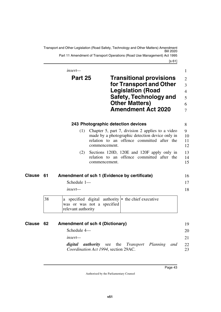<span id="page-44-1"></span><span id="page-44-0"></span>[s 61] Transport and Other Legislation (Road Safety, Technology and Other Matters) Amendment Bill 2020 Part 11 Amendment of Transport Operations (Road Use Management) Act 1995

<span id="page-44-3"></span><span id="page-44-2"></span>

|               |    | $insert-$                              |                                    |                                                                                                                                                                       | $\mathbf{1}$                                                      |
|---------------|----|----------------------------------------|------------------------------------|-----------------------------------------------------------------------------------------------------------------------------------------------------------------------|-------------------------------------------------------------------|
|               |    | Part 25                                |                                    | <b>Transitional provisions</b><br>for Transport and Other<br><b>Legislation (Road</b><br>Safety, Technology and<br><b>Other Matters)</b><br><b>Amendment Act 2020</b> | $\overline{2}$<br>$\overline{3}$<br>$\overline{4}$<br>5<br>6<br>7 |
|               |    |                                        | 243 Photographic detection devices |                                                                                                                                                                       | 8                                                                 |
|               |    | (1)                                    | commencement.                      | Chapter 5, part 7, division 2 applies to a video<br>made by a photographic detection device only in<br>relation to an offence committed after the                     | 9<br>10<br>11<br>12                                               |
|               |    | (2)                                    | commencement.                      | Sections 120D, 120E and 120F apply only in<br>relation to an offence committed after the                                                                              | 13<br>14<br>15                                                    |
| Clause        | 61 |                                        |                                    | Amendment of sch 1 (Evidence by certificate)                                                                                                                          | 16                                                                |
|               |    | Schedule 1-<br>insert—                 |                                    |                                                                                                                                                                       | 17<br>18                                                          |
|               | 38 | relevant authority                     | was or was not a specified         | a specified digital authority $\cdot$ the chief executive                                                                                                             |                                                                   |
| <b>Clause</b> | 62 | <b>Amendment of sch 4 (Dictionary)</b> |                                    |                                                                                                                                                                       | 19                                                                |

<span id="page-44-7"></span><span id="page-44-6"></span><span id="page-44-5"></span><span id="page-44-4"></span>

| Allielianient of sully (Dictionally) |                                      |  |                                                         |  | $\mathbf{y}$ |
|--------------------------------------|--------------------------------------|--|---------------------------------------------------------|--|--------------|
| Schedule $4-$                        |                                      |  |                                                         |  | 20           |
| $insert-$                            |                                      |  |                                                         |  | 21           |
|                                      | Coordination Act 1994, section 29AC. |  | <b>digital authority</b> see the Transport Planning and |  | 22<br>23     |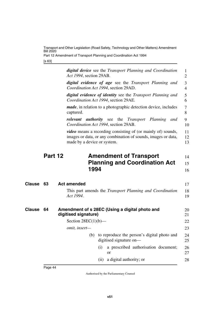Part 12 Amendment of Transport Planning and Coordination Act 1994

<span id="page-45-1"></span>[s 63]

<span id="page-45-5"></span><span id="page-45-4"></span><span id="page-45-3"></span><span id="page-45-2"></span><span id="page-45-0"></span>

|        |         | <b>digital device</b> see the Transport Planning and Coordination<br>Act 1994, section 29AB.                                                                        | 1<br>$\overline{2}$ |
|--------|---------|---------------------------------------------------------------------------------------------------------------------------------------------------------------------|---------------------|
|        |         | <b>digital evidence of age</b> see the Transport Planning and<br>Coordination Act 1994, section 29AD.                                                               | 3<br>4              |
|        |         | digital evidence of identity see the Transport Planning and<br>Coordination Act 1994, section 29AE.                                                                 | 5<br>6              |
|        |         | <i>made</i> , in relation to a photographic detection device, includes<br>captured.                                                                                 | 7<br>8              |
|        |         | <b><i>authority</i></b> see the <i>Transport</i> Planning<br>relevant<br>and<br>Coordination Act 1994, section 29AB.                                                | 9<br>10             |
|        |         | <i>video</i> means a recording consisting of (or mainly of) sounds,<br>images or data, or any combination of sounds, images or data,<br>made by a device or system. | 11<br>12<br>13      |
|        | Part 12 | <b>Amendment of Transport</b>                                                                                                                                       | 14                  |
|        |         | <b>Planning and Coordination Act</b>                                                                                                                                | 15                  |
|        |         | 1994                                                                                                                                                                | 16                  |
| Clause | 63      | <b>Act amended</b>                                                                                                                                                  | 17                  |
|        |         | This part amends the <i>Transport Planning and Coordination</i><br>Act 1994.                                                                                        | 18<br>19            |
| Clause | 64      | Amendment of s 28EC (Using a digital photo and<br>digitised signature)                                                                                              | 20<br>21            |
|        |         | Section $28EC(1)(b)$ —                                                                                                                                              | 22                  |
|        |         | omit, insert-                                                                                                                                                       | 23                  |
|        |         | to reproduce the person's digital photo and<br>(b)<br>digitised signature on-                                                                                       | 24<br>25            |
|        |         | a prescribed authorisation document;<br>(i)<br>or                                                                                                                   | 26<br>27            |
|        |         | a digital authority; or<br>(ii)                                                                                                                                     | 28                  |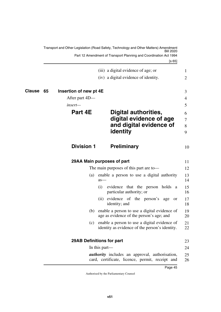<span id="page-46-9"></span><span id="page-46-8"></span><span id="page-46-7"></span><span id="page-46-6"></span><span id="page-46-5"></span><span id="page-46-4"></span><span id="page-46-3"></span><span id="page-46-2"></span><span id="page-46-1"></span><span id="page-46-0"></span>

|        |    |                        | Transport and Other Legislation (Road Safety, Technology and Other Matters) Amendment<br>Bill 2020       |                  |
|--------|----|------------------------|----------------------------------------------------------------------------------------------------------|------------------|
|        |    |                        | Part 12 Amendment of Transport Planning and Coordination Act 1994<br>[s 65]                              |                  |
|        |    |                        | (iii) a digital evidence of age; or                                                                      | $\mathbf{1}$     |
|        |    |                        | (iv) a digital evidence of identity.                                                                     | 2                |
| Clause | 65 | Insertion of new pt 4E |                                                                                                          | 3                |
|        |    | After part 4D—         |                                                                                                          | 4                |
|        |    | insert—                |                                                                                                          | 5                |
|        |    | Part 4E                | Digital authorities,<br>digital evidence of age<br>and digital evidence of<br>identity                   | 6<br>7<br>8<br>9 |
|        |    | <b>Division 1</b>      | <b>Preliminary</b>                                                                                       | 10               |
|        |    |                        | 29AA Main purposes of part                                                                               | 11               |
|        |    |                        | The main purposes of this part are to-                                                                   | 12               |
|        |    | (a)                    | enable a person to use a digital authority<br>$as-$                                                      | 13<br>14         |
|        |    |                        | evidence that the person holds a<br>(i)<br>particular authority; or                                      | 15<br>16         |
|        |    |                        | evidence of the person's age<br>(11)<br><b>or</b><br>identity; and                                       | 17<br>18         |
|        |    |                        | (b) enable a person to use a digital evidence of<br>age as evidence of the person's age; and             | 19<br>20         |
|        |    | (c)                    | enable a person to use a digital evidence of<br>identity as evidence of the person's identity.           | 21<br>22         |
|        |    |                        | <b>29AB Definitions for part</b>                                                                         | 23               |
|        |    |                        | In this part—                                                                                            | 24               |
|        |    |                        | <i>authority</i> includes an approval, authorisation,<br>card, certificate, licence, permit, receipt and | 25<br>26         |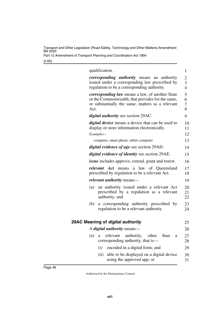Part 12 Amendment of Transport Planning and Coordination Act 1994

[s 65]

<span id="page-47-1"></span><span id="page-47-0"></span>

|      | qualification.                                                                                                                                                 | 1                                     |
|------|----------------------------------------------------------------------------------------------------------------------------------------------------------------|---------------------------------------|
|      | <i>corresponding authority</i> means an authority<br>issued under a corresponding law prescribed by<br>regulation to be a corresponding authority.             | $\overline{c}$<br>3<br>$\overline{4}$ |
| Act. | <i>corresponding law</i> means a law, of another State<br>or the Commonwealth, that provides for the same,<br>or substantially the same, matters as a relevant | 5<br>6<br>7<br>8                      |
|      | <i>digital authority</i> see section 29AC.                                                                                                                     | 9                                     |
|      | <i>digital device</i> means a device that can be used to<br>display or store information electronically.                                                       | 10<br>11                              |
|      | Examples-                                                                                                                                                      | 12                                    |
|      | computer, smart phone, tablet computer                                                                                                                         | 13                                    |
|      | <i>digital evidence of age</i> see section 29AD.                                                                                                               | 14                                    |
|      | digital evidence of identity see section 29AE.                                                                                                                 | 15                                    |
|      | <i>issue</i> includes approve, extend, grant and renew.                                                                                                        | 16                                    |
|      | <i>relevant Act</i> means a law of Queensland<br>prescribed by regulation to be a relevant Act.                                                                | 17<br>18                              |
|      | <i>relevant authority</i> means-                                                                                                                               | 19                                    |
| (a)  | an authority issued under a relevant Act<br>prescribed by a regulation as a relevant<br>authority; and                                                         | 20<br>21<br>22                        |
| (b)  | a corresponding authority prescribed by<br>regulation to be a relevant authority.                                                                              | 23<br>24                              |
|      | 29AC Meaning of digital authority                                                                                                                              | 25                                    |
|      | A <i>digital authority</i> means—                                                                                                                              | 26                                    |
| (a)  | relevant<br>authority,<br>other<br>than<br>a<br>a<br>corresponding authority, that is—                                                                         | 27<br>28                              |
|      | (i)<br>encoded in a digital form; and                                                                                                                          | 29                                    |
|      | (ii)<br>able to be displayed on a digital device<br>using the approved app; or                                                                                 | 30<br>31                              |
|      |                                                                                                                                                                |                                       |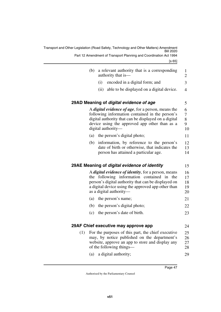<span id="page-48-5"></span><span id="page-48-4"></span><span id="page-48-3"></span><span id="page-48-2"></span><span id="page-48-1"></span><span id="page-48-0"></span>

|     |     | Transport and Other Legislation (Road Safety, Technology and Other Matters) Amendment<br><b>Bill 2020</b>                                                                                                                                         |                            |
|-----|-----|---------------------------------------------------------------------------------------------------------------------------------------------------------------------------------------------------------------------------------------------------|----------------------------|
|     |     | Part 12 Amendment of Transport Planning and Coordination Act 1994<br>[s 65]                                                                                                                                                                       |                            |
|     | (b) | a relevant authority that is a corresponding<br>authority that is—                                                                                                                                                                                | 1<br>$\mathbf{2}$          |
|     |     | (i)<br>encoded in a digital form; and                                                                                                                                                                                                             | 3                          |
|     |     | able to be displayed on a digital device.<br>(ii)                                                                                                                                                                                                 | $\overline{4}$             |
|     |     | 29AD Meaning of digital evidence of age                                                                                                                                                                                                           | 5                          |
|     |     | A <i>digital evidence of age</i> , for a person, means the<br>following information contained in the person's<br>digital authority that can be displayed on a digital<br>device using the approved app other than as a<br>digital authority—      | 6<br>7<br>$8\,$<br>9<br>10 |
|     |     | (a) the person's digital photo;                                                                                                                                                                                                                   | 11                         |
|     | (b) | information, by reference to the person's<br>date of birth or otherwise, that indicates the<br>person has attained a particular age.                                                                                                              | 12<br>13<br>14             |
|     |     | 29AE Meaning of digital evidence of identity                                                                                                                                                                                                      | 15                         |
|     |     | A <i>digital evidence of identity</i> , for a person, means<br>the following information contained in the<br>person's digital authority that can be displayed on<br>a digital device using the approved app other than<br>as a digital authority— | 16<br>17<br>18<br>19<br>20 |
|     |     | (a) the person's name;                                                                                                                                                                                                                            | 21                         |
|     |     | (b) the person's digital photo;                                                                                                                                                                                                                   | 22                         |
|     |     | (c) the person's date of birth.                                                                                                                                                                                                                   | 23                         |
|     |     | 29AF Chief executive may approve app                                                                                                                                                                                                              | 24                         |
| (1) |     | For the purposes of this part, the chief executive<br>may, by notice published on the department's<br>website, approve an app to store and display any<br>of the following things—                                                                | 25<br>26<br>27<br>28       |
|     | (a) | a digital authority;                                                                                                                                                                                                                              | 29                         |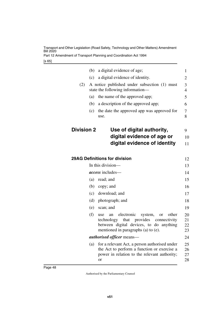Part 12 Amendment of Transport Planning and Coordination Act 1994

[s 65]

<span id="page-49-3"></span><span id="page-49-2"></span><span id="page-49-1"></span><span id="page-49-0"></span>

|                   | (b) | a digital evidence of age;                                                                              | $\mathbf{1}$   |
|-------------------|-----|---------------------------------------------------------------------------------------------------------|----------------|
|                   | (c) | a digital evidence of identity.                                                                         | 2              |
| (2)               |     | A notice published under subsection (1) must                                                            | 3              |
|                   |     | state the following information—                                                                        | $\overline{4}$ |
|                   | (a) | the name of the approved app;                                                                           | 5              |
|                   | (b) | a description of the approved app;                                                                      | 6              |
|                   | (c) | the date the approved app was approved for<br>use.                                                      | 7<br>8         |
| <b>Division 2</b> |     | Use of digital authority,                                                                               | 9              |
|                   |     | digital evidence of age or                                                                              | 10             |
|                   |     | digital evidence of identity                                                                            | 11             |
|                   |     | <b>29AG Definitions for division</b>                                                                    |                |
|                   |     | In this division-                                                                                       | 12             |
|                   |     | <i>access</i> includes—                                                                                 | 13             |
|                   |     |                                                                                                         | 14             |
|                   | (a) | read; and                                                                                               | 15             |
|                   | (b) | copy; and                                                                                               | 16             |
|                   | (c) | download; and                                                                                           | 17             |
|                   | (d) | photograph; and                                                                                         | 18             |
|                   | (e) | scan; and                                                                                               | 19             |
|                   | (f) | electronic<br>other<br>system,<br>use<br><b>or</b><br>an<br>technology that<br>provides<br>connectivity | 20             |
|                   |     | between digital devices, to do anything                                                                 | 21<br>22       |
|                   |     | mentioned in paragraphs (a) to (e).                                                                     | 23             |
|                   |     | <i>authorised officer</i> means—                                                                        | 24             |
|                   | (a) | for a relevant Act, a person authorised under                                                           | 25             |
|                   |     | the Act to perform a function or exercise a                                                             | 26             |
|                   |     | power in relation to the relevant authority;<br>or                                                      | 27<br>28       |
|                   |     |                                                                                                         |                |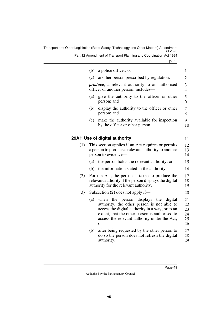Part 12 Amendment of Transport Planning and Coordination Act 1994

[s 65]

<span id="page-50-1"></span><span id="page-50-0"></span>

|     | (b) | a police officer; or                                                                                                                                                                                                                                          | $\mathbf{1}$                     |
|-----|-----|---------------------------------------------------------------------------------------------------------------------------------------------------------------------------------------------------------------------------------------------------------------|----------------------------------|
|     | (c) | another person prescribed by regulation.                                                                                                                                                                                                                      | 2                                |
|     |     | <i>produce</i> , a relevant authority to an authorised<br>officer or another person, includes-                                                                                                                                                                | 3<br>$\overline{4}$              |
|     | (a) | give the authority to the officer or other<br>person; and                                                                                                                                                                                                     | 5<br>6                           |
|     | (b) | display the authority to the officer or other<br>person; and                                                                                                                                                                                                  | 7<br>8                           |
|     | (c) | make the authority available for inspection<br>by the officer or other person.                                                                                                                                                                                | 9<br>10                          |
|     |     | 29AH Use of digital authority                                                                                                                                                                                                                                 | 11                               |
| (1) |     | This section applies if an Act requires or permits<br>a person to produce a relevant authority to another<br>person to evidence—                                                                                                                              | 12<br>13<br>14                   |
|     | (a) | the person holds the relevant authority; or                                                                                                                                                                                                                   | 15                               |
|     | (b) | the information stated in the authority.                                                                                                                                                                                                                      | 16                               |
| (2) |     | For the Act, the person is taken to produce the<br>relevant authority if the person displays the digital<br>authority for the relevant authority.                                                                                                             | 17<br>18<br>19                   |
| (3) |     | Subsection $(2)$ does not apply if—                                                                                                                                                                                                                           | 20                               |
|     | (a) | displays the<br>when<br>the person<br>digital<br>authority, the other person is not able to<br>access the digital authority in a way, or to an<br>extent, that the other person is authorised to<br>access the relevant authority under the Act;<br><b>or</b> | 21<br>22<br>23<br>24<br>25<br>26 |
|     | (b) | after being requested by the other person to<br>do so the person does not refresh the digital<br>authority.                                                                                                                                                   | 27<br>28<br>29                   |
|     |     |                                                                                                                                                                                                                                                               |                                  |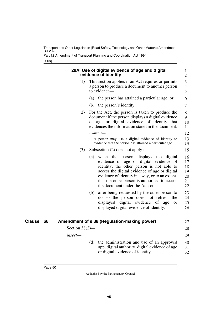Part 12 Amendment of Transport Planning and Coordination Act 1994

<span id="page-51-1"></span><span id="page-51-0"></span>[s 66]

<span id="page-51-3"></span><span id="page-51-2"></span>

|              |                   | 29AI Use of digital evidence of age and digital<br>evidence of identity                                                                                                                                                                                                                                                      |
|--------------|-------------------|------------------------------------------------------------------------------------------------------------------------------------------------------------------------------------------------------------------------------------------------------------------------------------------------------------------------------|
|              | (1)               | This section applies if an Act requires or permits<br>a person to produce a document to another person<br>to evidence-                                                                                                                                                                                                       |
|              |                   | the person has attained a particular age; or<br>(a)                                                                                                                                                                                                                                                                          |
|              |                   | the person's identity.<br>(b)                                                                                                                                                                                                                                                                                                |
|              | (2)               | For the Act, the person is taken to produce the<br>document if the person displays a digital evidence<br>of age or digital evidence of identity that<br>evidences the information stated in the document.<br>Example-                                                                                                        |
|              |                   | A person may use a digital evidence of identity to<br>evidence that the person has attained a particular age.                                                                                                                                                                                                                |
|              | (3)               | Subsection $(2)$ does not apply if—                                                                                                                                                                                                                                                                                          |
|              |                   | when the person displays the<br>digital<br>(a)<br>evidence of age or digital evidence of<br>identity, the other person is not able to<br>access the digital evidence of age or digital<br>evidence of identity in a way, or to an extent,<br>that the other person is authorised to access<br>the document under the Act; or |
|              |                   | after being requested by the other person to<br>(b)<br>do so the person does not refresh the<br>digital evidence<br>displayed<br>of<br>age<br>or<br>displayed digital evidence of identity.                                                                                                                                  |
| Clause<br>66 |                   | Amendment of s 38 (Regulation-making power)                                                                                                                                                                                                                                                                                  |
|              | Section $38(2)$ — |                                                                                                                                                                                                                                                                                                                              |
|              | insert-           |                                                                                                                                                                                                                                                                                                                              |
|              |                   | the administration and use of an approved<br>(d)<br>app, digital authority, digital evidence of age<br>or digital evidence of identity.                                                                                                                                                                                      |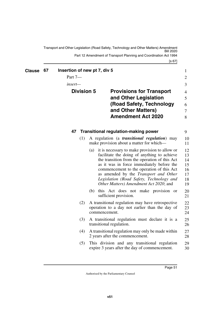<span id="page-52-3"></span><span id="page-52-2"></span><span id="page-52-1"></span>[s 67] Transport and Other Legislation (Road Safety, Technology and Other Matters) Amendment Bill 2020 Part 12 Amendment of Transport Planning and Coordination Act 1994

<span id="page-52-5"></span><span id="page-52-4"></span><span id="page-52-0"></span>

| <b>Clause</b> | 67 | Insertion of new pt 7, div 5<br>Part 7- |                   |               |                                                                                                                                                                                                                                                                                                                                                                        | 1<br>$\overline{2}$                          |
|---------------|----|-----------------------------------------|-------------------|---------------|------------------------------------------------------------------------------------------------------------------------------------------------------------------------------------------------------------------------------------------------------------------------------------------------------------------------------------------------------------------------|----------------------------------------------|
|               |    | insert—                                 |                   |               |                                                                                                                                                                                                                                                                                                                                                                        | 3                                            |
|               |    |                                         | <b>Division 5</b> |               | <b>Provisions for Transport</b><br>and Other Legislation<br>(Road Safety, Technology<br>and Other Matters)<br><b>Amendment Act 2020</b>                                                                                                                                                                                                                                | $\overline{4}$<br>5<br>6<br>$\tau$<br>8      |
|               |    | 47                                      |                   |               | <b>Transitional regulation-making power</b>                                                                                                                                                                                                                                                                                                                            | 9                                            |
|               |    |                                         | (1)               |               | A regulation (a <i>transitional regulation</i> ) may<br>make provision about a matter for which—                                                                                                                                                                                                                                                                       | 10<br>11                                     |
|               |    |                                         |                   | (a)           | it is necessary to make provision to allow or<br>facilitate the doing of anything to achieve<br>the transition from the operation of this Act<br>as it was in force immediately before the<br>commencement to the operation of this Act<br>as amended by the Transport and Other<br>Legislation (Road Safety, Technology and<br>Other Matters) Amendment Act 2020; and | 12<br>13<br>14<br>15<br>16<br>17<br>18<br>19 |
|               |    |                                         |                   |               | (b) this Act does not make provision or<br>sufficient provision.                                                                                                                                                                                                                                                                                                       | 20<br>21                                     |
|               |    |                                         | (2)               | commencement. | A transitional regulation may have retrospective<br>operation to a day not earlier than the day of                                                                                                                                                                                                                                                                     | 22<br>23<br>24                               |
|               |    |                                         | (3)               |               | A transitional regulation must declare it is a<br>transitional regulation.                                                                                                                                                                                                                                                                                             | 25<br>26                                     |
|               |    |                                         | (4)               |               | A transitional regulation may only be made within<br>2 years after the commencement.                                                                                                                                                                                                                                                                                   | 27<br>28                                     |
|               |    |                                         | (5)               |               | This division and any transitional regulation<br>expire 3 years after the day of commencement.                                                                                                                                                                                                                                                                         | 29<br>30                                     |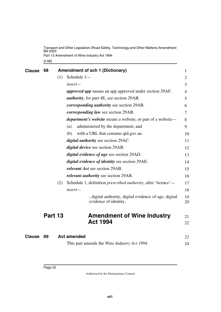<span id="page-53-1"></span>[s 68] Transport and Other Legislation (Road Safety, Technology and Other Matters) Amendment Bill 2020 Part 13 Amendment of Wine Industry Act 1994

<span id="page-53-5"></span><span id="page-53-4"></span><span id="page-53-3"></span><span id="page-53-2"></span><span id="page-53-0"></span>

| <b>Clause</b> | 68      |     | <b>Amendment of sch 1 (Dictionary)</b>                                         | $\mathbf{1}$   |
|---------------|---------|-----|--------------------------------------------------------------------------------|----------------|
|               |         | (1) | Schedule 1-                                                                    | $\overline{2}$ |
|               |         |     | insert-                                                                        | 3              |
|               |         |     | <i>approved app</i> means an app approved under section 29AF.                  | 4              |
|               |         |     | <i>authority</i> , for part 4E, see section 29AB.                              | 5              |
|               |         |     | <i>corresponding authority</i> see section 29AB.                               | 6              |
|               |         |     | corresponding law see section 29AB.                                            | 7              |
|               |         |     | <i>department's website</i> means a website, or part of a website—             | 8              |
|               |         |     | administered by the department; and<br>(a)                                     | 9              |
|               |         |     | with a URL that contains qld.gov.au.<br>(b)                                    | 10             |
|               |         |     | digital authority see section 29AC.                                            | 11             |
|               |         |     | <i>digital device</i> see section 29AB.                                        | 12             |
|               |         |     | <i>digital evidence of age see section 29AD.</i>                               | 13             |
|               |         |     | <i>digital evidence of identity</i> see section 29AE.                          | 14             |
|               |         |     | <i>relevant Act</i> see section 29AB.                                          | 15             |
|               |         |     | relevant authority see section 29AB.                                           | 16             |
|               |         | (2) | Schedule 1, definition <i>prescribed authority</i> , after 'licence'—          | 17             |
|               |         |     | insert-                                                                        | 18             |
|               |         |     | , digital authority, digital evidence of age, digital<br>evidence of identity, | 19<br>20       |
|               | Part 13 |     | <b>Amendment of Wine Industry</b>                                              | 21             |
|               |         |     | <b>Act 1994</b>                                                                | 22             |
| <b>Clause</b> | 69      |     | <b>Act amended</b>                                                             | 23             |
|               |         |     | This part amends the <i>Wine Industry Act 1994</i> .                           | 24             |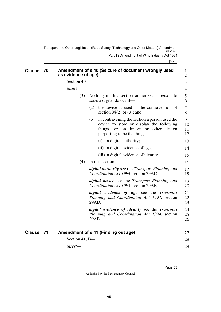<span id="page-54-1"></span><span id="page-54-0"></span>Transport and Other Legislation (Road Safety, Technology and Other Matters) Amendment Bill 2020 Part 13 Amendment of Wine Industry Act 1994

<span id="page-54-3"></span><span id="page-54-2"></span>

| <b>Clause</b> | - 70 | as evidence of age) | Amendment of s 40 (Seizure of document wrongly used                                                                                                                    | $\mathbf{1}$<br>$\overline{2}$ |
|---------------|------|---------------------|------------------------------------------------------------------------------------------------------------------------------------------------------------------------|--------------------------------|
|               |      | Section 40-         |                                                                                                                                                                        | 3                              |
|               |      | $insert-$           |                                                                                                                                                                        | 4                              |
|               |      | (3)                 | Nothing in this section authorises a person to<br>seize a digital device if-                                                                                           | 5<br>6                         |
|               |      |                     | the device is used in the contravention of<br>(a)<br>section $38(2)$ or (3); and                                                                                       | 7<br>8                         |
|               |      |                     | in contravening the section a person used the<br>(b)<br>device to store or display the following<br>things, or an image or other design<br>purporting to be the thing— | 9<br>10<br>11<br>12            |
|               |      |                     | a digital authority;<br>(i)                                                                                                                                            | 13                             |
|               |      |                     | a digital evidence of age;<br>(11)                                                                                                                                     | 14                             |
|               |      |                     | (iii) a digital evidence of identity.                                                                                                                                  | 15                             |
|               |      | (4)                 | In this section—                                                                                                                                                       | 16                             |
|               |      |                     | digital authority see the Transport Planning and<br>Coordination Act 1994, section 29AC.                                                                               | 17<br>18                       |
|               |      |                     | <b>digital device</b> see the <i>Transport Planning and</i><br>Coordination Act 1994, section 29AB.                                                                    | 19<br>20                       |
|               |      |                     | digital evidence of age see the Transport<br>Planning and Coordination Act 1994, section<br>29AD.                                                                      | 21<br>22<br>23                 |
|               |      |                     | digital evidence of identity see the Transport<br>Planning and Coordination Act 1994, section<br>29AE.                                                                 | 24<br>25<br>26                 |
| Clause 71     |      |                     | Amendment of s 41 (Finding out age)                                                                                                                                    | 27                             |
|               |      | Section $41(1)$ —   |                                                                                                                                                                        | 28                             |
|               |      | insert-             |                                                                                                                                                                        | 29                             |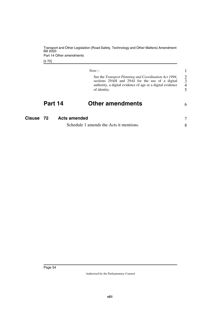Transport and Other Legislation (Road Safety, Technology and Other Matters) Amendment Bill 2020 Part 14 Other amendments

[s 72]

<span id="page-55-1"></span>

|              | See the <i>Transport Planning and Coordination Act 1994</i> , |
|--------------|---------------------------------------------------------------|
|              | sections 29AH and 29AI for the use of a digital               |
|              |                                                               |
|              | authority, a digital evidence of age or a digital evidence    |
| of identity. |                                                               |

6

### <span id="page-55-3"></span><span id="page-55-2"></span><span id="page-55-0"></span>**Part 14 Other amendments**

| Clause 72 | <b>Acts amended</b>                     |  |
|-----------|-----------------------------------------|--|
|           | Schedule 1 amends the Acts it mentions. |  |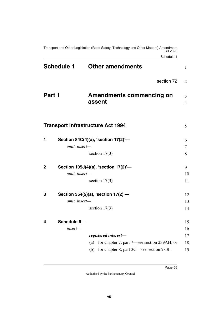Schedule 1

<span id="page-56-4"></span><span id="page-56-3"></span><span id="page-56-2"></span><span id="page-56-1"></span><span id="page-56-0"></span>

| <b>Schedule 1</b>           | <b>Other amendments</b>                                                                            | $\mathbf{1}$        |
|-----------------------------|----------------------------------------------------------------------------------------------------|---------------------|
|                             | section 72                                                                                         | $\overline{2}$      |
| Part 1                      | <b>Amendments commencing on</b><br>assent                                                          | 3<br>$\overline{4}$ |
|                             | <b>Transport Infrastructure Act 1994</b>                                                           | 5                   |
| 1<br>omit, insert-          | Section 84C(4)(a), 'section 17(2)'-                                                                | 6<br>7              |
|                             | section $17(3)$                                                                                    | 8                   |
| $\mathbf 2$                 | Section 105J(4)(a), 'section 17(2)'-                                                               | 9                   |
| omit, insert-               | section $17(3)$                                                                                    | 10<br>11            |
| 3<br>omit, insert-          | Section 354(5)(a), 'section 17(2)'-                                                                | 12<br>13            |
|                             | section $17(3)$                                                                                    | 14                  |
| Schedule 6-<br>4<br>insert- |                                                                                                    | 15<br>16            |
|                             | registered interest-                                                                               | 17                  |
|                             | (a) for chapter 7, part 7—see section 239AH; or<br>for chapter 8, part 3C—see section 283I.<br>(b) | 18<br>19            |